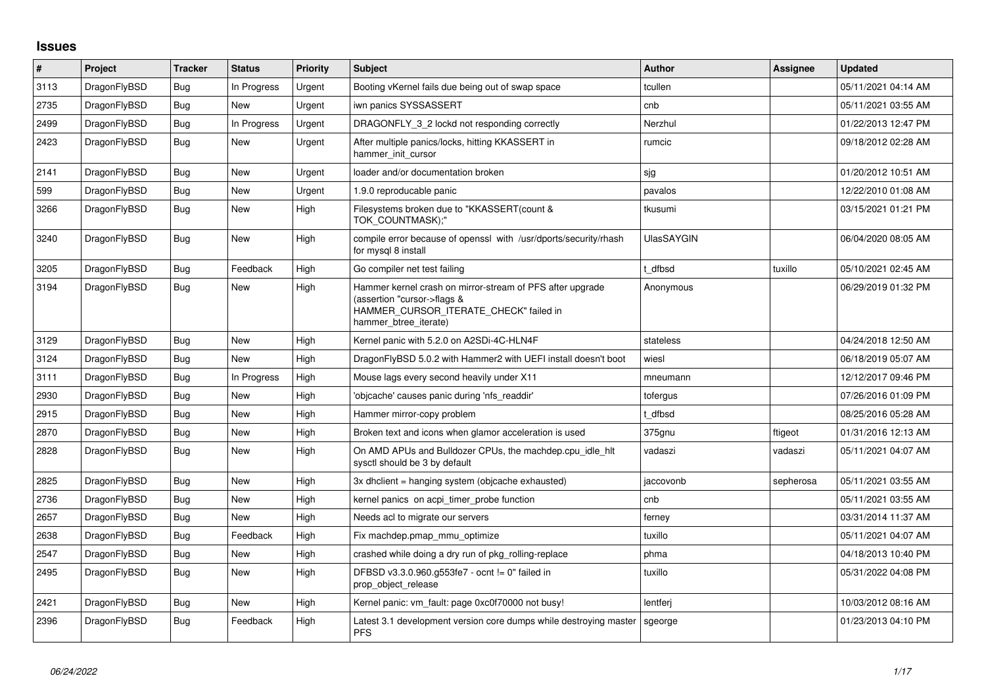## **Issues**

| $\vert$ # | Project      | <b>Tracker</b> | <b>Status</b> | <b>Priority</b> | <b>Subject</b>                                                                                                                                              | <b>Author</b>     | <b>Assignee</b> | <b>Updated</b>      |
|-----------|--------------|----------------|---------------|-----------------|-------------------------------------------------------------------------------------------------------------------------------------------------------------|-------------------|-----------------|---------------------|
| 3113      | DragonFlyBSD | Bug            | In Progress   | Urgent          | Booting vKernel fails due being out of swap space                                                                                                           | tcullen           |                 | 05/11/2021 04:14 AM |
| 2735      | DragonFlyBSD | Bug            | New           | Urgent          | iwn panics SYSSASSERT                                                                                                                                       | cnb               |                 | 05/11/2021 03:55 AM |
| 2499      | DragonFlyBSD | Bug            | In Progress   | Urgent          | DRAGONFLY 3 2 lockd not responding correctly                                                                                                                | Nerzhul           |                 | 01/22/2013 12:47 PM |
| 2423      | DragonFlyBSD | <b>Bug</b>     | New           | Urgent          | After multiple panics/locks, hitting KKASSERT in<br>hammer init cursor                                                                                      | rumcic            |                 | 09/18/2012 02:28 AM |
| 2141      | DragonFlyBSD | <b>Bug</b>     | <b>New</b>    | Urgent          | loader and/or documentation broken                                                                                                                          | sjg               |                 | 01/20/2012 10:51 AM |
| 599       | DragonFlyBSD | Bug            | New           | Urgent          | 1.9.0 reproducable panic                                                                                                                                    | pavalos           |                 | 12/22/2010 01:08 AM |
| 3266      | DragonFlyBSD | <b>Bug</b>     | New           | High            | Filesystems broken due to "KKASSERT(count &<br>TOK COUNTMASK):"                                                                                             | tkusumi           |                 | 03/15/2021 01:21 PM |
| 3240      | DragonFlyBSD | <b>Bug</b>     | New           | High            | compile error because of openssl with /usr/dports/security/rhash<br>for mysql 8 install                                                                     | <b>UlasSAYGIN</b> |                 | 06/04/2020 08:05 AM |
| 3205      | DragonFlyBSD | <b>Bug</b>     | Feedback      | High            | Go compiler net test failing                                                                                                                                | dfbsd             | tuxillo         | 05/10/2021 02:45 AM |
| 3194      | DragonFlyBSD | <b>Bug</b>     | <b>New</b>    | High            | Hammer kernel crash on mirror-stream of PFS after upgrade<br>(assertion "cursor->flags &<br>HAMMER CURSOR ITERATE CHECK" failed in<br>hammer btree iterate) | Anonymous         |                 | 06/29/2019 01:32 PM |
| 3129      | DragonFlyBSD | Bug            | New           | High            | Kernel panic with 5.2.0 on A2SDi-4C-HLN4F                                                                                                                   | stateless         |                 | 04/24/2018 12:50 AM |
| 3124      | DragonFlyBSD | <b>Bug</b>     | <b>New</b>    | High            | DragonFlyBSD 5.0.2 with Hammer2 with UEFI install doesn't boot                                                                                              | wiesl             |                 | 06/18/2019 05:07 AM |
| 3111      | DragonFlyBSD | Bug            | In Progress   | High            | Mouse lags every second heavily under X11                                                                                                                   | mneumann          |                 | 12/12/2017 09:46 PM |
| 2930      | DragonFlyBSD | Bug            | New           | High            | 'objcache' causes panic during 'nfs readdir'                                                                                                                | tofergus          |                 | 07/26/2016 01:09 PM |
| 2915      | DragonFlyBSD | Bug            | New           | High            | Hammer mirror-copy problem                                                                                                                                  | t dfbsd           |                 | 08/25/2016 05:28 AM |
| 2870      | DragonFlyBSD | Bug            | New           | High            | Broken text and icons when glamor acceleration is used                                                                                                      | 375gnu            | ftigeot         | 01/31/2016 12:13 AM |
| 2828      | DragonFlyBSD | Bug            | New           | High            | On AMD APUs and Bulldozer CPUs, the machdep.cpu_idle_hlt<br>sysctl should be 3 by default                                                                   | vadaszi           | vadaszi         | 05/11/2021 04:07 AM |
| 2825      | DragonFlyBSD | <b>Bug</b>     | <b>New</b>    | High            | 3x dhclient = hanging system (objcache exhausted)                                                                                                           | jaccovonb         | sepherosa       | 05/11/2021 03:55 AM |
| 2736      | DragonFlyBSD | <b>Bug</b>     | <b>New</b>    | High            | kernel panics on acpi timer probe function                                                                                                                  | cnb               |                 | 05/11/2021 03:55 AM |
| 2657      | DragonFlyBSD | Bug            | New           | High            | Needs acl to migrate our servers                                                                                                                            | ferney            |                 | 03/31/2014 11:37 AM |
| 2638      | DragonFlyBSD | Bug            | Feedback      | High            | Fix machdep.pmap mmu optimize                                                                                                                               | tuxillo           |                 | 05/11/2021 04:07 AM |
| 2547      | DragonFlyBSD | Bug            | New           | High            | crashed while doing a dry run of pkg_rolling-replace                                                                                                        | phma              |                 | 04/18/2013 10:40 PM |
| 2495      | DragonFlyBSD | Bug            | New           | High            | DFBSD v3.3.0.960.g553fe7 - ocnt != 0" failed in<br>prop_object_release                                                                                      | tuxillo           |                 | 05/31/2022 04:08 PM |
| 2421      | DragonFlyBSD | Bug            | New           | High            | Kernel panic: vm fault: page 0xc0f70000 not busy!                                                                                                           | lentferj          |                 | 10/03/2012 08:16 AM |
| 2396      | DragonFlyBSD | <b>Bug</b>     | Feedback      | High            | Latest 3.1 development version core dumps while destroying master<br>PFS                                                                                    | sgeorge           |                 | 01/23/2013 04:10 PM |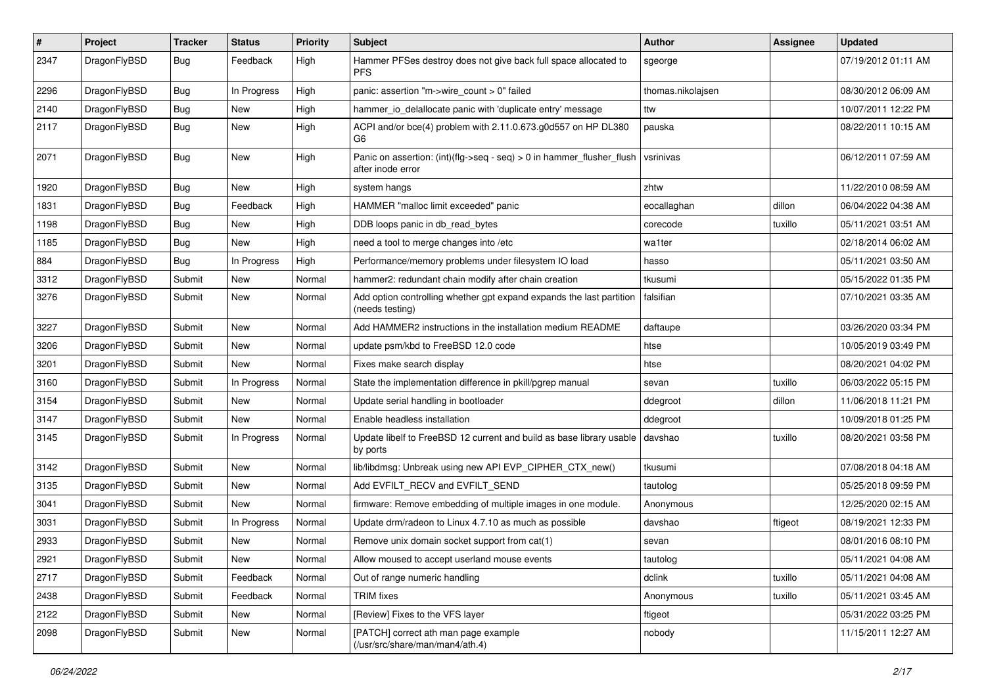| $\pmb{\#}$ | Project      | <b>Tracker</b> | <b>Status</b> | <b>Priority</b> | Subject                                                                                    | <b>Author</b>     | <b>Assignee</b> | <b>Updated</b>      |
|------------|--------------|----------------|---------------|-----------------|--------------------------------------------------------------------------------------------|-------------------|-----------------|---------------------|
| 2347       | DragonFlyBSD | Bug            | Feedback      | High            | Hammer PFSes destroy does not give back full space allocated to<br><b>PFS</b>              | sgeorge           |                 | 07/19/2012 01:11 AM |
| 2296       | DragonFlyBSD | Bug            | In Progress   | High            | panic: assertion "m->wire count > 0" failed                                                | thomas.nikolajsen |                 | 08/30/2012 06:09 AM |
| 2140       | DragonFlyBSD | Bug            | <b>New</b>    | High            | hammer_io_delallocate panic with 'duplicate entry' message                                 | ttw               |                 | 10/07/2011 12:22 PM |
| 2117       | DragonFlyBSD | Bug            | New           | High            | ACPI and/or bce(4) problem with 2.11.0.673.g0d557 on HP DL380<br>G6                        | pauska            |                 | 08/22/2011 10:15 AM |
| 2071       | DragonFlyBSD | Bug            | New           | High            | Panic on assertion: (int)(flg->seq - seq) > 0 in hammer_flusher_flush<br>after inode error | vsrinivas         |                 | 06/12/2011 07:59 AM |
| 1920       | DragonFlyBSD | Bug            | New           | High            | system hangs                                                                               | zhtw              |                 | 11/22/2010 08:59 AM |
| 1831       | DragonFlyBSD | Bug            | Feedback      | High            | HAMMER "malloc limit exceeded" panic                                                       | eocallaghan       | dillon          | 06/04/2022 04:38 AM |
| 1198       | DragonFlyBSD | Bug            | New           | High            | DDB loops panic in db_read_bytes                                                           | corecode          | tuxillo         | 05/11/2021 03:51 AM |
| 1185       | DragonFlyBSD | Bug            | New           | High            | need a tool to merge changes into /etc                                                     | wa1ter            |                 | 02/18/2014 06:02 AM |
| 884        | DragonFlyBSD | Bug            | In Progress   | High            | Performance/memory problems under filesystem IO load                                       | hasso             |                 | 05/11/2021 03:50 AM |
| 3312       | DragonFlyBSD | Submit         | New           | Normal          | hammer2: redundant chain modify after chain creation                                       | tkusumi           |                 | 05/15/2022 01:35 PM |
| 3276       | DragonFlyBSD | Submit         | New           | Normal          | Add option controlling whether gpt expand expands the last partition<br>(needs testing)    | falsifian         |                 | 07/10/2021 03:35 AM |
| 3227       | DragonFlyBSD | Submit         | <b>New</b>    | Normal          | Add HAMMER2 instructions in the installation medium README                                 | daftaupe          |                 | 03/26/2020 03:34 PM |
| 3206       | DragonFlyBSD | Submit         | New           | Normal          | update psm/kbd to FreeBSD 12.0 code                                                        | htse              |                 | 10/05/2019 03:49 PM |
| 3201       | DragonFlyBSD | Submit         | New           | Normal          | Fixes make search display                                                                  | htse              |                 | 08/20/2021 04:02 PM |
| 3160       | DragonFlyBSD | Submit         | In Progress   | Normal          | State the implementation difference in pkill/pgrep manual                                  | sevan             | tuxillo         | 06/03/2022 05:15 PM |
| 3154       | DragonFlyBSD | Submit         | New           | Normal          | Update serial handling in bootloader                                                       | ddegroot          | dillon          | 11/06/2018 11:21 PM |
| 3147       | DragonFlyBSD | Submit         | New           | Normal          | Enable headless installation                                                               | ddegroot          |                 | 10/09/2018 01:25 PM |
| 3145       | DragonFlyBSD | Submit         | In Progress   | Normal          | Update libelf to FreeBSD 12 current and build as base library usable<br>by ports           | davshao           | tuxillo         | 08/20/2021 03:58 PM |
| 3142       | DragonFlyBSD | Submit         | <b>New</b>    | Normal          | lib/libdmsg: Unbreak using new API EVP_CIPHER_CTX_new()                                    | tkusumi           |                 | 07/08/2018 04:18 AM |
| 3135       | DragonFlyBSD | Submit         | <b>New</b>    | Normal          | Add EVFILT_RECV and EVFILT_SEND                                                            | tautolog          |                 | 05/25/2018 09:59 PM |
| 3041       | DragonFlyBSD | Submit         | New           | Normal          | firmware: Remove embedding of multiple images in one module.                               | Anonymous         |                 | 12/25/2020 02:15 AM |
| 3031       | DragonFlyBSD | Submit         | In Progress   | Normal          | Update drm/radeon to Linux 4.7.10 as much as possible                                      | davshao           | ftigeot         | 08/19/2021 12:33 PM |
| 2933       | DragonFlyBSD | Submit         | New           | Normal          | Remove unix domain socket support from cat(1)                                              | sevan             |                 | 08/01/2016 08:10 PM |
| 2921       | DragonFlyBSD | Submit         | New           | Normal          | Allow moused to accept userland mouse events                                               | tautolog          |                 | 05/11/2021 04:08 AM |
| 2717       | DragonFlyBSD | Submit         | Feedback      | Normal          | Out of range numeric handling                                                              | dclink            | tuxillo         | 05/11/2021 04:08 AM |
| 2438       | DragonFlyBSD | Submit         | Feedback      | Normal          | <b>TRIM</b> fixes                                                                          | Anonymous         | tuxillo         | 05/11/2021 03:45 AM |
| 2122       | DragonFlyBSD | Submit         | New           | Normal          | [Review] Fixes to the VFS layer                                                            | ftigeot           |                 | 05/31/2022 03:25 PM |
| 2098       | DragonFlyBSD | Submit         | New           | Normal          | [PATCH] correct ath man page example<br>(/usr/src/share/man/man4/ath.4)                    | nobody            |                 | 11/15/2011 12:27 AM |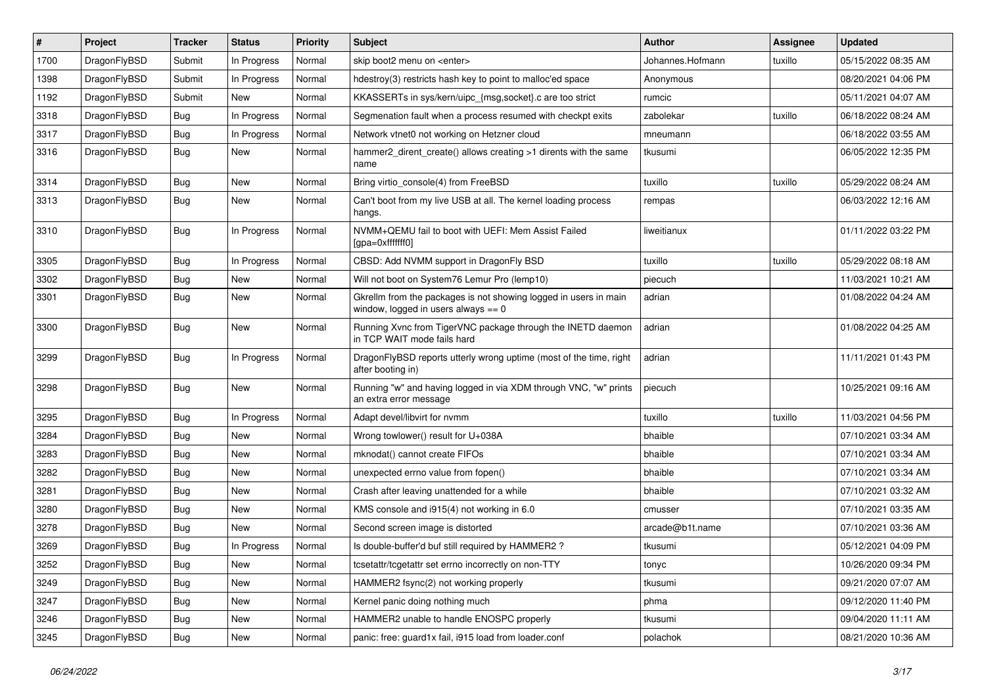| $\vert$ # | Project      | <b>Tracker</b> | <b>Status</b> | <b>Priority</b> | <b>Subject</b>                                                                                            | Author           | <b>Assignee</b> | <b>Updated</b>      |
|-----------|--------------|----------------|---------------|-----------------|-----------------------------------------------------------------------------------------------------------|------------------|-----------------|---------------------|
| 1700      | DragonFlyBSD | Submit         | In Progress   | Normal          | skip boot2 menu on <enter></enter>                                                                        | Johannes.Hofmann | tuxillo         | 05/15/2022 08:35 AM |
| 1398      | DragonFlyBSD | Submit         | In Progress   | Normal          | hdestroy(3) restricts hash key to point to malloc'ed space                                                | Anonymous        |                 | 08/20/2021 04:06 PM |
| 1192      | DragonFlyBSD | Submit         | New           | Normal          | KKASSERTs in sys/kern/uipc_{msg,socket}.c are too strict                                                  | rumcic           |                 | 05/11/2021 04:07 AM |
| 3318      | DragonFlyBSD | Bug            | In Progress   | Normal          | Segmenation fault when a process resumed with checkpt exits                                               | zabolekar        | tuxillo         | 06/18/2022 08:24 AM |
| 3317      | DragonFlyBSD | Bug            | In Progress   | Normal          | Network vtnet0 not working on Hetzner cloud                                                               | mneumann         |                 | 06/18/2022 03:55 AM |
| 3316      | DragonFlyBSD | Bug            | New           | Normal          | hammer2_dirent_create() allows creating >1 dirents with the same<br>name                                  | tkusumi          |                 | 06/05/2022 12:35 PM |
| 3314      | DragonFlyBSD | <b>Bug</b>     | <b>New</b>    | Normal          | Bring virtio console(4) from FreeBSD                                                                      | tuxillo          | tuxillo         | 05/29/2022 08:24 AM |
| 3313      | DragonFlyBSD | <b>Bug</b>     | <b>New</b>    | Normal          | Can't boot from my live USB at all. The kernel loading process<br>hangs.                                  | rempas           |                 | 06/03/2022 12:16 AM |
| 3310      | DragonFlyBSD | Bug            | In Progress   | Normal          | NVMM+QEMU fail to boot with UEFI: Mem Assist Failed<br>[gpa=0xfffffff0]                                   | liweitianux      |                 | 01/11/2022 03:22 PM |
| 3305      | DragonFlyBSD | Bug            | In Progress   | Normal          | CBSD: Add NVMM support in DragonFly BSD                                                                   | tuxillo          | tuxillo         | 05/29/2022 08:18 AM |
| 3302      | DragonFlyBSD | <b>Bug</b>     | New           | Normal          | Will not boot on System76 Lemur Pro (lemp10)                                                              | piecuch          |                 | 11/03/2021 10:21 AM |
| 3301      | DragonFlyBSD | Bug            | <b>New</b>    | Normal          | Gkrellm from the packages is not showing logged in users in main<br>window, logged in users always $== 0$ | adrian           |                 | 01/08/2022 04:24 AM |
| 3300      | DragonFlyBSD | Bug            | <b>New</b>    | Normal          | Running Xvnc from TigerVNC package through the INETD daemon<br>in TCP WAIT mode fails hard                | adrian           |                 | 01/08/2022 04:25 AM |
| 3299      | DragonFlyBSD | <b>Bug</b>     | In Progress   | Normal          | DragonFlyBSD reports utterly wrong uptime (most of the time, right<br>after booting in)                   | adrian           |                 | 11/11/2021 01:43 PM |
| 3298      | DragonFlyBSD | Bug            | New           | Normal          | Running "w" and having logged in via XDM through VNC, "w" prints<br>an extra error message                | piecuch          |                 | 10/25/2021 09:16 AM |
| 3295      | DragonFlyBSD | Bug            | In Progress   | Normal          | Adapt devel/libvirt for nvmm                                                                              | tuxillo          | tuxillo         | 11/03/2021 04:56 PM |
| 3284      | DragonFlyBSD | <b>Bug</b>     | <b>New</b>    | Normal          | Wrong towlower() result for U+038A                                                                        | bhaible          |                 | 07/10/2021 03:34 AM |
| 3283      | DragonFlyBSD | <b>Bug</b>     | <b>New</b>    | Normal          | mknodat() cannot create FIFOs                                                                             | bhaible          |                 | 07/10/2021 03:34 AM |
| 3282      | DragonFlyBSD | Bug            | <b>New</b>    | Normal          | unexpected errno value from fopen()                                                                       | bhaible          |                 | 07/10/2021 03:34 AM |
| 3281      | DragonFlyBSD | Bug            | New           | Normal          | Crash after leaving unattended for a while                                                                | bhaible          |                 | 07/10/2021 03:32 AM |
| 3280      | DragonFlyBSD | <b>Bug</b>     | <b>New</b>    | Normal          | KMS console and i915(4) not working in 6.0                                                                | cmusser          |                 | 07/10/2021 03:35 AM |
| 3278      | DragonFlyBSD | <b>Bug</b>     | <b>New</b>    | Normal          | Second screen image is distorted                                                                          | arcade@b1t.name  |                 | 07/10/2021 03:36 AM |
| 3269      | DragonFlyBSD | <b>Bug</b>     | In Progress   | Normal          | Is double-buffer'd buf still required by HAMMER2?                                                         | tkusumi          |                 | 05/12/2021 04:09 PM |
| 3252      | DragonFlyBSD | Bug            | New           | Normal          | tcsetattr/tcgetattr set errno incorrectly on non-TTY                                                      | tonyc            |                 | 10/26/2020 09:34 PM |
| 3249      | DragonFlyBSD | Bug            | New           | Normal          | HAMMER2 fsync(2) not working properly                                                                     | tkusumi          |                 | 09/21/2020 07:07 AM |
| 3247      | DragonFlyBSD | <b>Bug</b>     | New           | Normal          | Kernel panic doing nothing much                                                                           | phma             |                 | 09/12/2020 11:40 PM |
| 3246      | DragonFlyBSD | <b>Bug</b>     | New           | Normal          | HAMMER2 unable to handle ENOSPC properly                                                                  | tkusumi          |                 | 09/04/2020 11:11 AM |
| 3245      | DragonFlyBSD | <b>Bug</b>     | New           | Normal          | panic: free: guard1x fail, i915 load from loader.conf                                                     | polachok         |                 | 08/21/2020 10:36 AM |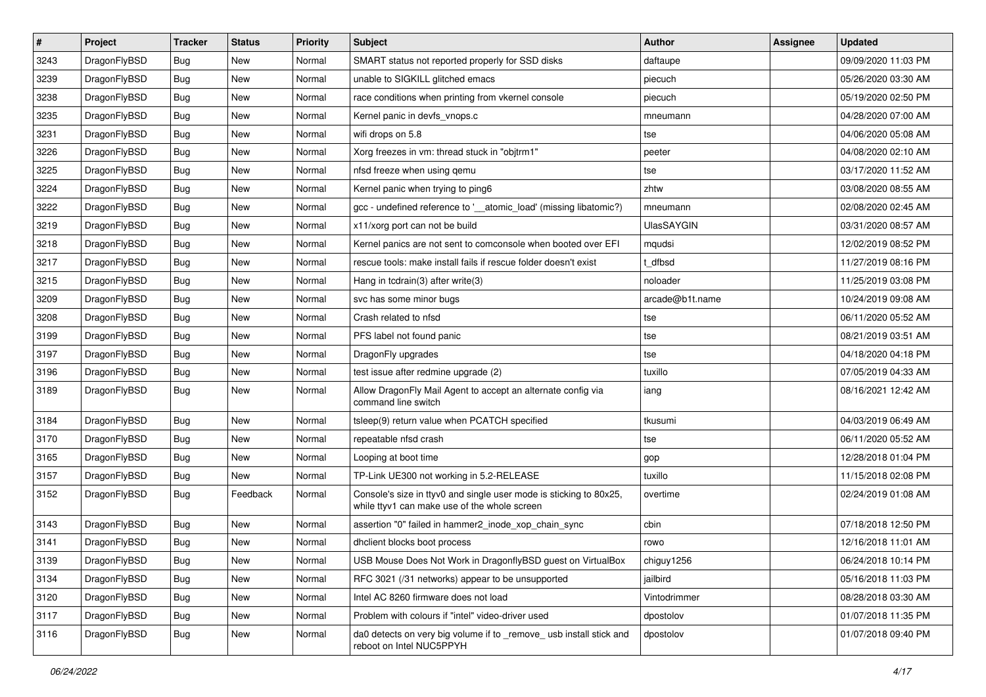| #    | Project      | <b>Tracker</b> | <b>Status</b> | <b>Priority</b> | Subject                                                                                                            | <b>Author</b>     | Assignee | <b>Updated</b>      |
|------|--------------|----------------|---------------|-----------------|--------------------------------------------------------------------------------------------------------------------|-------------------|----------|---------------------|
| 3243 | DragonFlyBSD | Bug            | <b>New</b>    | Normal          | SMART status not reported properly for SSD disks                                                                   | daftaupe          |          | 09/09/2020 11:03 PM |
| 3239 | DragonFlyBSD | <b>Bug</b>     | <b>New</b>    | Normal          | unable to SIGKILL glitched emacs                                                                                   | piecuch           |          | 05/26/2020 03:30 AM |
| 3238 | DragonFlyBSD | <b>Bug</b>     | <b>New</b>    | Normal          | race conditions when printing from vkernel console                                                                 | piecuch           |          | 05/19/2020 02:50 PM |
| 3235 | DragonFlyBSD | <b>Bug</b>     | <b>New</b>    | Normal          | Kernel panic in devfs vnops.c                                                                                      | mneumann          |          | 04/28/2020 07:00 AM |
| 3231 | DragonFlyBSD | Bug            | <b>New</b>    | Normal          | wifi drops on 5.8                                                                                                  | tse               |          | 04/06/2020 05:08 AM |
| 3226 | DragonFlyBSD | Bug            | <b>New</b>    | Normal          | Xorg freezes in vm: thread stuck in "objtrm1"                                                                      | peeter            |          | 04/08/2020 02:10 AM |
| 3225 | DragonFlyBSD | Bug            | <b>New</b>    | Normal          | nfsd freeze when using qemu                                                                                        | tse               |          | 03/17/2020 11:52 AM |
| 3224 | DragonFlyBSD | <b>Bug</b>     | <b>New</b>    | Normal          | Kernel panic when trying to ping6                                                                                  | zhtw              |          | 03/08/2020 08:55 AM |
| 3222 | DragonFlyBSD | <b>Bug</b>     | New           | Normal          | gcc - undefined reference to '__atomic_load' (missing libatomic?)                                                  | mneumann          |          | 02/08/2020 02:45 AM |
| 3219 | DragonFlyBSD | Bug            | <b>New</b>    | Normal          | x11/xorg port can not be build                                                                                     | <b>UlasSAYGIN</b> |          | 03/31/2020 08:57 AM |
| 3218 | DragonFlyBSD | <b>Bug</b>     | <b>New</b>    | Normal          | Kernel panics are not sent to comconsole when booted over EFI                                                      | mqudsi            |          | 12/02/2019 08:52 PM |
| 3217 | DragonFlyBSD | Bug            | New           | Normal          | rescue tools: make install fails if rescue folder doesn't exist                                                    | t dfbsd           |          | 11/27/2019 08:16 PM |
| 3215 | DragonFlyBSD | <b>Bug</b>     | <b>New</b>    | Normal          | Hang in todrain(3) after write(3)                                                                                  | noloader          |          | 11/25/2019 03:08 PM |
| 3209 | DragonFlyBSD | <b>Bug</b>     | <b>New</b>    | Normal          | svc has some minor bugs                                                                                            | arcade@b1t.name   |          | 10/24/2019 09:08 AM |
| 3208 | DragonFlyBSD | <b>Bug</b>     | <b>New</b>    | Normal          | Crash related to nfsd                                                                                              | tse               |          | 06/11/2020 05:52 AM |
| 3199 | DragonFlyBSD | <b>Bug</b>     | New           | Normal          | PFS label not found panic                                                                                          | tse               |          | 08/21/2019 03:51 AM |
| 3197 | DragonFlyBSD | Bug            | New           | Normal          | DragonFly upgrades                                                                                                 | tse               |          | 04/18/2020 04:18 PM |
| 3196 | DragonFlyBSD | <b>Bug</b>     | <b>New</b>    | Normal          | test issue after redmine upgrade (2)                                                                               | tuxillo           |          | 07/05/2019 04:33 AM |
| 3189 | DragonFlyBSD | Bug            | <b>New</b>    | Normal          | Allow DragonFly Mail Agent to accept an alternate config via<br>command line switch                                | iang              |          | 08/16/2021 12:42 AM |
| 3184 | DragonFlyBSD | Bug            | New           | Normal          | tsleep(9) return value when PCATCH specified                                                                       | tkusumi           |          | 04/03/2019 06:49 AM |
| 3170 | DragonFlyBSD | <b>Bug</b>     | <b>New</b>    | Normal          | repeatable nfsd crash                                                                                              | tse               |          | 06/11/2020 05:52 AM |
| 3165 | DragonFlyBSD | Bug            | <b>New</b>    | Normal          | Looping at boot time                                                                                               | gop               |          | 12/28/2018 01:04 PM |
| 3157 | DragonFlyBSD | <b>Bug</b>     | New           | Normal          | TP-Link UE300 not working in 5.2-RELEASE                                                                           | tuxillo           |          | 11/15/2018 02:08 PM |
| 3152 | DragonFlyBSD | Bug            | Feedback      | Normal          | Console's size in ttyv0 and single user mode is sticking to 80x25,<br>while ttyv1 can make use of the whole screen | overtime          |          | 02/24/2019 01:08 AM |
| 3143 | DragonFlyBSD | <b>Bug</b>     | <b>New</b>    | Normal          | assertion "0" failed in hammer2_inode_xop_chain_sync                                                               | cbin              |          | 07/18/2018 12:50 PM |
| 3141 | DragonFlyBSD | Bug            | New           | Normal          | dhclient blocks boot process                                                                                       | rowo              |          | 12/16/2018 11:01 AM |
| 3139 | DragonFlyBSD | Bug            | New           | Normal          | USB Mouse Does Not Work in DragonflyBSD guest on VirtualBox                                                        | chiguy1256        |          | 06/24/2018 10:14 PM |
| 3134 | DragonFlyBSD | <b>Bug</b>     | <b>New</b>    | Normal          | RFC 3021 (/31 networks) appear to be unsupported                                                                   | jailbird          |          | 05/16/2018 11:03 PM |
| 3120 | DragonFlyBSD | Bug            | New           | Normal          | Intel AC 8260 firmware does not load                                                                               | Vintodrimmer      |          | 08/28/2018 03:30 AM |
| 3117 | DragonFlyBSD | <b>Bug</b>     | New           | Normal          | Problem with colours if "intel" video-driver used                                                                  | dpostolov         |          | 01/07/2018 11:35 PM |
| 3116 | DragonFlyBSD | <b>Bug</b>     | New           | Normal          | da0 detects on very big volume if to _remove_ usb install stick and<br>reboot on Intel NUC5PPYH                    | dpostolov         |          | 01/07/2018 09:40 PM |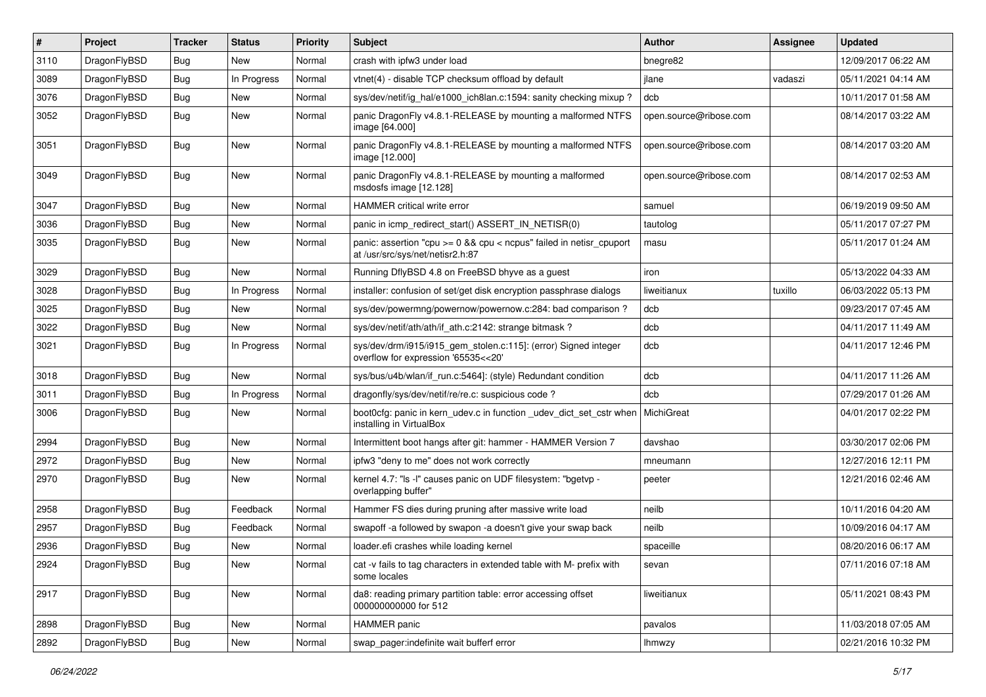| $\sharp$ | Project      | <b>Tracker</b> | <b>Status</b> | <b>Priority</b> | Subject                                                                                                 | <b>Author</b>          | Assignee | <b>Updated</b>      |
|----------|--------------|----------------|---------------|-----------------|---------------------------------------------------------------------------------------------------------|------------------------|----------|---------------------|
| 3110     | DragonFlyBSD | <b>Bug</b>     | New           | Normal          | crash with ipfw3 under load                                                                             | bnegre82               |          | 12/09/2017 06:22 AM |
| 3089     | DragonFlyBSD | Bug            | In Progress   | Normal          | vtnet(4) - disable TCP checksum offload by default                                                      | jlane                  | vadaszi  | 05/11/2021 04:14 AM |
| 3076     | DragonFlyBSD | <b>Bug</b>     | New           | Normal          | sys/dev/netif/ig_hal/e1000_ich8lan.c:1594: sanity checking mixup?                                       | dcb                    |          | 10/11/2017 01:58 AM |
| 3052     | DragonFlyBSD | Bug            | <b>New</b>    | Normal          | panic DragonFly v4.8.1-RELEASE by mounting a malformed NTFS<br>image [64.000]                           | open.source@ribose.com |          | 08/14/2017 03:22 AM |
| 3051     | DragonFlyBSD | Bug            | <b>New</b>    | Normal          | panic DragonFly v4.8.1-RELEASE by mounting a malformed NTFS<br>image [12.000]                           | open.source@ribose.com |          | 08/14/2017 03:20 AM |
| 3049     | DragonFlyBSD | Bug            | <b>New</b>    | Normal          | panic DragonFly v4.8.1-RELEASE by mounting a malformed<br>msdosfs image [12.128]                        | open.source@ribose.com |          | 08/14/2017 02:53 AM |
| 3047     | DragonFlyBSD | Bug            | <b>New</b>    | Normal          | HAMMER critical write error                                                                             | samuel                 |          | 06/19/2019 09:50 AM |
| 3036     | DragonFlyBSD | Bug            | New           | Normal          | panic in icmp redirect start() ASSERT IN NETISR(0)                                                      | tautolog               |          | 05/11/2017 07:27 PM |
| 3035     | DragonFlyBSD | Bug            | New           | Normal          | panic: assertion "cpu >= 0 && cpu < ncpus" failed in netisr_cpuport<br>at /usr/src/sys/net/netisr2.h:87 | masu                   |          | 05/11/2017 01:24 AM |
| 3029     | DragonFlyBSD | Bug            | <b>New</b>    | Normal          | Running DflyBSD 4.8 on FreeBSD bhyve as a guest                                                         | iron                   |          | 05/13/2022 04:33 AM |
| 3028     | DragonFlyBSD | <b>Bug</b>     | In Progress   | Normal          | installer: confusion of set/get disk encryption passphrase dialogs                                      | liweitianux            | tuxillo  | 06/03/2022 05:13 PM |
| 3025     | DragonFlyBSD | <b>Bug</b>     | New           | Normal          | sys/dev/powermng/powernow/powernow.c:284: bad comparison?                                               | dcb                    |          | 09/23/2017 07:45 AM |
| 3022     | DragonFlyBSD | <b>Bug</b>     | <b>New</b>    | Normal          | sys/dev/netif/ath/ath/if_ath.c:2142: strange bitmask?                                                   | dcb                    |          | 04/11/2017 11:49 AM |
| 3021     | DragonFlyBSD | Bug            | In Progress   | Normal          | sys/dev/drm/i915/i915_gem_stolen.c:115]: (error) Signed integer<br>overflow for expression '65535<<20'  | dcb                    |          | 04/11/2017 12:46 PM |
| 3018     | DragonFlyBSD | Bug            | <b>New</b>    | Normal          | sys/bus/u4b/wlan/if_run.c:5464]: (style) Redundant condition                                            | dcb                    |          | 04/11/2017 11:26 AM |
| 3011     | DragonFlyBSD | Bug            | In Progress   | Normal          | dragonfly/sys/dev/netif/re/re.c: suspicious code?                                                       | dcb                    |          | 07/29/2017 01:26 AM |
| 3006     | DragonFlyBSD | <b>Bug</b>     | New           | Normal          | boot0cfg: panic in kern_udev.c in function _udev_dict_set_cstr when<br>installing in VirtualBox         | MichiGreat             |          | 04/01/2017 02:22 PM |
| 2994     | DragonFlyBSD | Bug            | <b>New</b>    | Normal          | Intermittent boot hangs after git: hammer - HAMMER Version 7                                            | davshao                |          | 03/30/2017 02:06 PM |
| 2972     | DragonFlyBSD | <b>Bug</b>     | <b>New</b>    | Normal          | ipfw3 "deny to me" does not work correctly                                                              | mneumann               |          | 12/27/2016 12:11 PM |
| 2970     | DragonFlyBSD | Bug            | New           | Normal          | kernel 4.7: "Is -l" causes panic on UDF filesystem: "bgetvp -<br>overlapping buffer"                    | peeter                 |          | 12/21/2016 02:46 AM |
| 2958     | DragonFlyBSD | Bug            | Feedback      | Normal          | Hammer FS dies during pruning after massive write load                                                  | neilb                  |          | 10/11/2016 04:20 AM |
| 2957     | DragonFlyBSD | Bug            | Feedback      | Normal          | swapoff -a followed by swapon -a doesn't give your swap back                                            | neilb                  |          | 10/09/2016 04:17 AM |
| 2936     | DragonFlyBSD | <b>Bug</b>     | New           | Normal          | loader.efi crashes while loading kernel                                                                 | spaceille              |          | 08/20/2016 06:17 AM |
| 2924     | DragonFlyBSD | <b>Bug</b>     | New           | Normal          | cat -v fails to tag characters in extended table with M- prefix with<br>some locales                    | sevan                  |          | 07/11/2016 07:18 AM |
| 2917     | DragonFlyBSD | <b>Bug</b>     | New           | Normal          | da8: reading primary partition table: error accessing offset<br>000000000000 for 512                    | liweitianux            |          | 05/11/2021 08:43 PM |
| 2898     | DragonFlyBSD | <b>Bug</b>     | New           | Normal          | HAMMER panic                                                                                            | pavalos                |          | 11/03/2018 07:05 AM |
| 2892     | DragonFlyBSD | <b>Bug</b>     | New           | Normal          | swap_pager:indefinite wait bufferf error                                                                | <b>Ihmwzy</b>          |          | 02/21/2016 10:32 PM |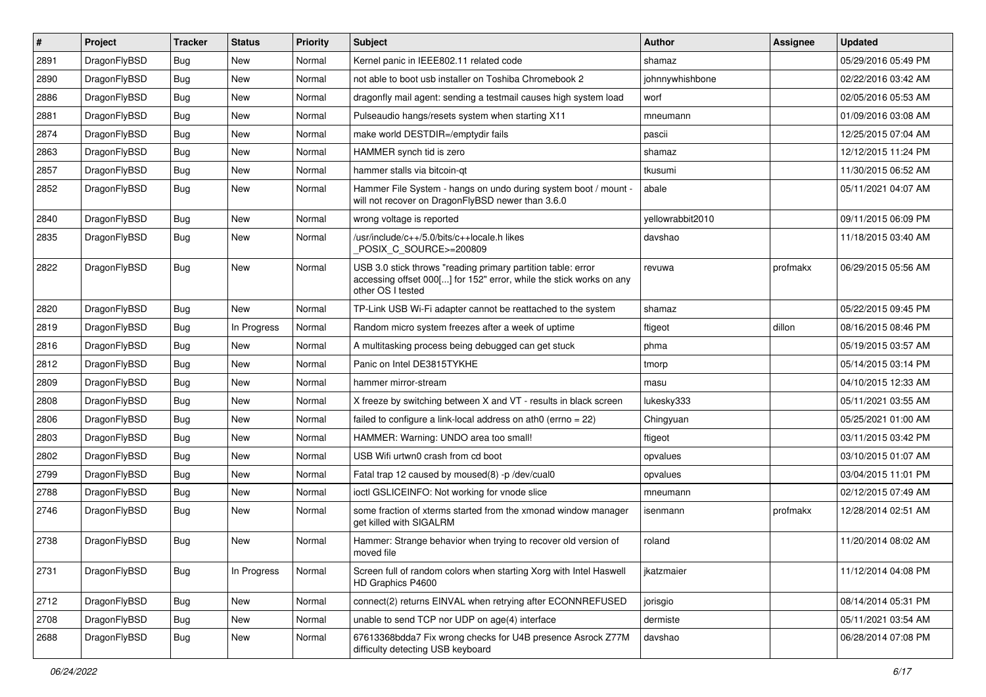| $\sharp$ | Project      | <b>Tracker</b> | <b>Status</b> | <b>Priority</b> | <b>Subject</b>                                                                                                                                           | Author           | Assignee | <b>Updated</b>      |
|----------|--------------|----------------|---------------|-----------------|----------------------------------------------------------------------------------------------------------------------------------------------------------|------------------|----------|---------------------|
| 2891     | DragonFlyBSD | Bug            | <b>New</b>    | Normal          | Kernel panic in IEEE802.11 related code                                                                                                                  | shamaz           |          | 05/29/2016 05:49 PM |
| 2890     | DragonFlyBSD | Bug            | <b>New</b>    | Normal          | not able to boot usb installer on Toshiba Chromebook 2                                                                                                   | johnnywhishbone  |          | 02/22/2016 03:42 AM |
| 2886     | DragonFlyBSD | Bug            | <b>New</b>    | Normal          | dragonfly mail agent: sending a testmail causes high system load                                                                                         | worf             |          | 02/05/2016 05:53 AM |
| 2881     | DragonFlyBSD | Bug            | New           | Normal          | Pulseaudio hangs/resets system when starting X11                                                                                                         | mneumann         |          | 01/09/2016 03:08 AM |
| 2874     | DragonFlyBSD | Bug            | <b>New</b>    | Normal          | make world DESTDIR=/emptydir fails                                                                                                                       | pascii           |          | 12/25/2015 07:04 AM |
| 2863     | DragonFlyBSD | Bug            | <b>New</b>    | Normal          | HAMMER synch tid is zero                                                                                                                                 | shamaz           |          | 12/12/2015 11:24 PM |
| 2857     | DragonFlyBSD | Bug            | <b>New</b>    | Normal          | hammer stalls via bitcoin-gt                                                                                                                             | tkusumi          |          | 11/30/2015 06:52 AM |
| 2852     | DragonFlyBSD | Bug            | <b>New</b>    | Normal          | Hammer File System - hangs on undo during system boot / mount -<br>will not recover on DragonFlyBSD newer than 3.6.0                                     | abale            |          | 05/11/2021 04:07 AM |
| 2840     | DragonFlyBSD | Bug            | <b>New</b>    | Normal          | wrong voltage is reported                                                                                                                                | yellowrabbit2010 |          | 09/11/2015 06:09 PM |
| 2835     | DragonFlyBSD | Bug            | <b>New</b>    | Normal          | /usr/include/c++/5.0/bits/c++locale.h likes<br>POSIX_C_SOURCE>=200809                                                                                    | davshao          |          | 11/18/2015 03:40 AM |
| 2822     | DragonFlyBSD | <b>Bug</b>     | <b>New</b>    | Normal          | USB 3.0 stick throws "reading primary partition table: error<br>accessing offset 000[] for 152" error, while the stick works on any<br>other OS I tested | revuwa           | profmakx | 06/29/2015 05:56 AM |
| 2820     | DragonFlyBSD | Bug            | New           | Normal          | TP-Link USB Wi-Fi adapter cannot be reattached to the system                                                                                             | shamaz           |          | 05/22/2015 09:45 PM |
| 2819     | DragonFlyBSD | <b>Bug</b>     | In Progress   | Normal          | Random micro system freezes after a week of uptime                                                                                                       | ftigeot          | dillon   | 08/16/2015 08:46 PM |
| 2816     | DragonFlyBSD | Bug            | <b>New</b>    | Normal          | A multitasking process being debugged can get stuck                                                                                                      | phma             |          | 05/19/2015 03:57 AM |
| 2812     | DragonFlyBSD | Bug            | <b>New</b>    | Normal          | Panic on Intel DE3815TYKHE                                                                                                                               | tmorp            |          | 05/14/2015 03:14 PM |
| 2809     | DragonFlyBSD | Bug            | New           | Normal          | hammer mirror-stream                                                                                                                                     | masu             |          | 04/10/2015 12:33 AM |
| 2808     | DragonFlyBSD | Bug            | <b>New</b>    | Normal          | X freeze by switching between X and VT - results in black screen                                                                                         | lukesky333       |          | 05/11/2021 03:55 AM |
| 2806     | DragonFlyBSD | <b>Bug</b>     | <b>New</b>    | Normal          | failed to configure a link-local address on ath $0$ (errno = 22)                                                                                         | Chingyuan        |          | 05/25/2021 01:00 AM |
| 2803     | DragonFlyBSD | Bug            | <b>New</b>    | Normal          | HAMMER: Warning: UNDO area too small!                                                                                                                    | ftigeot          |          | 03/11/2015 03:42 PM |
| 2802     | DragonFlyBSD | Bug            | <b>New</b>    | Normal          | USB Wifi urtwn0 crash from cd boot                                                                                                                       | opvalues         |          | 03/10/2015 01:07 AM |
| 2799     | DragonFlyBSD | Bug            | <b>New</b>    | Normal          | Fatal trap 12 caused by moused(8) -p/dev/cual0                                                                                                           | opvalues         |          | 03/04/2015 11:01 PM |
| 2788     | DragonFlyBSD | Bug            | <b>New</b>    | Normal          | ioctl GSLICEINFO: Not working for vnode slice                                                                                                            | mneumann         |          | 02/12/2015 07:49 AM |
| 2746     | DragonFlyBSD | <b>Bug</b>     | <b>New</b>    | Normal          | some fraction of xterms started from the xmonad window manager<br>get killed with SIGALRM                                                                | isenmann         | profmakx | 12/28/2014 02:51 AM |
| 2738     | DragonFlyBSD | <b>Bug</b>     | <b>New</b>    | Normal          | Hammer: Strange behavior when trying to recover old version of<br>moved file                                                                             | roland           |          | 11/20/2014 08:02 AM |
| 2731     | DragonFlyBSD | Bug            | In Progress   | Normal          | Screen full of random colors when starting Xorg with Intel Haswell<br>HD Graphics P4600                                                                  | jkatzmaier       |          | 11/12/2014 04:08 PM |
| 2712     | DragonFlyBSD | <b>Bug</b>     | New           | Normal          | connect(2) returns EINVAL when retrying after ECONNREFUSED                                                                                               | jorisgio         |          | 08/14/2014 05:31 PM |
| 2708     | DragonFlyBSD | <b>Bug</b>     | New           | Normal          | unable to send TCP nor UDP on age(4) interface                                                                                                           | dermiste         |          | 05/11/2021 03:54 AM |
| 2688     | DragonFlyBSD | Bug            | New           | Normal          | 67613368bdda7 Fix wrong checks for U4B presence Asrock Z77M<br>difficulty detecting USB keyboard                                                         | davshao          |          | 06/28/2014 07:08 PM |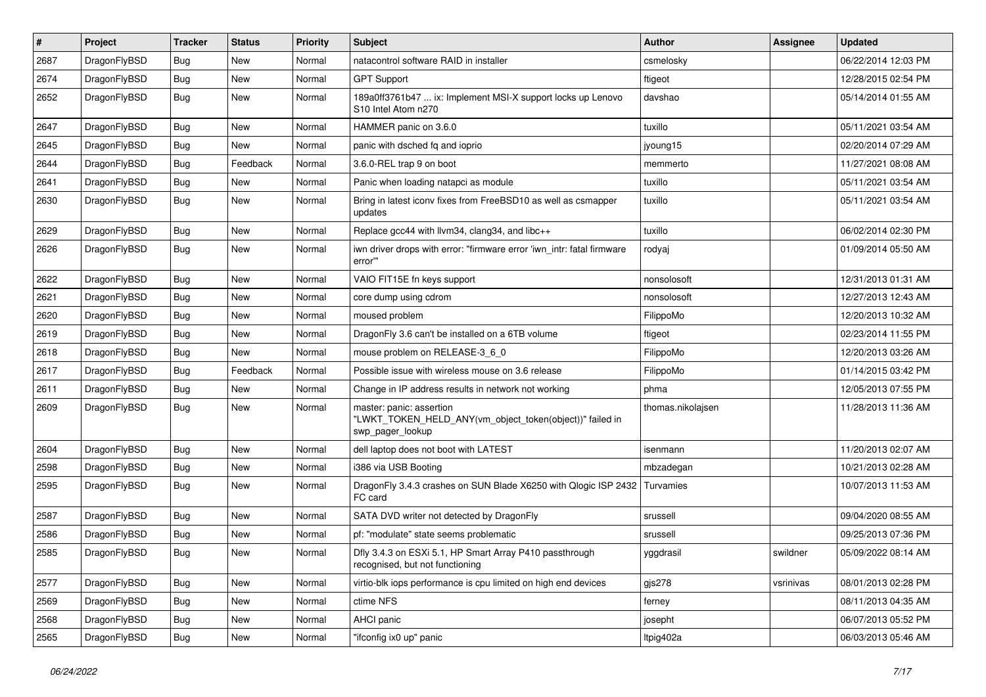| $\sharp$ | Project      | <b>Tracker</b> | <b>Status</b> | <b>Priority</b> | Subject                                                                                                  | <b>Author</b>     | Assignee  | <b>Updated</b>      |
|----------|--------------|----------------|---------------|-----------------|----------------------------------------------------------------------------------------------------------|-------------------|-----------|---------------------|
| 2687     | DragonFlyBSD | <b>Bug</b>     | <b>New</b>    | Normal          | natacontrol software RAID in installer                                                                   | csmelosky         |           | 06/22/2014 12:03 PM |
| 2674     | DragonFlyBSD | Bug            | <b>New</b>    | Normal          | <b>GPT Support</b>                                                                                       | ftigeot           |           | 12/28/2015 02:54 PM |
| 2652     | DragonFlyBSD | <b>Bug</b>     | <b>New</b>    | Normal          | 189a0ff3761b47  ix: Implement MSI-X support locks up Lenovo<br>S10 Intel Atom n270                       | davshao           |           | 05/14/2014 01:55 AM |
| 2647     | DragonFlyBSD | Bug            | <b>New</b>    | Normal          | HAMMER panic on 3.6.0                                                                                    | tuxillo           |           | 05/11/2021 03:54 AM |
| 2645     | DragonFlyBSD | <b>Bug</b>     | New           | Normal          | panic with dsched fq and ioprio                                                                          | jyoung15          |           | 02/20/2014 07:29 AM |
| 2644     | DragonFlyBSD | Bug            | Feedback      | Normal          | 3.6.0-REL trap 9 on boot                                                                                 | memmerto          |           | 11/27/2021 08:08 AM |
| 2641     | DragonFlyBSD | <b>Bug</b>     | New           | Normal          | Panic when loading natapci as module                                                                     | tuxillo           |           | 05/11/2021 03:54 AM |
| 2630     | DragonFlyBSD | Bug            | New           | Normal          | Bring in latest iconv fixes from FreeBSD10 as well as csmapper<br>updates                                | tuxillo           |           | 05/11/2021 03:54 AM |
| 2629     | DragonFlyBSD | Bug            | <b>New</b>    | Normal          | Replace gcc44 with llvm34, clang34, and libc++                                                           | tuxillo           |           | 06/02/2014 02:30 PM |
| 2626     | DragonFlyBSD | Bug            | New           | Normal          | iwn driver drops with error: "firmware error 'iwn_intr: fatal firmware<br>error"                         | rodyaj            |           | 01/09/2014 05:50 AM |
| 2622     | DragonFlyBSD | Bug            | <b>New</b>    | Normal          | VAIO FIT15E fn keys support                                                                              | nonsolosoft       |           | 12/31/2013 01:31 AM |
| 2621     | DragonFlyBSD | <b>Bug</b>     | <b>New</b>    | Normal          | core dump using cdrom                                                                                    | nonsolosoft       |           | 12/27/2013 12:43 AM |
| 2620     | DragonFlyBSD | <b>Bug</b>     | <b>New</b>    | Normal          | moused problem                                                                                           | FilippoMo         |           | 12/20/2013 10:32 AM |
| 2619     | DragonFlyBSD | <b>Bug</b>     | <b>New</b>    | Normal          | DragonFly 3.6 can't be installed on a 6TB volume                                                         | ftigeot           |           | 02/23/2014 11:55 PM |
| 2618     | DragonFlyBSD | Bug            | <b>New</b>    | Normal          | mouse problem on RELEASE-3_6_0                                                                           | FilippoMo         |           | 12/20/2013 03:26 AM |
| 2617     | DragonFlyBSD | Bug            | Feedback      | Normal          | Possible issue with wireless mouse on 3.6 release                                                        | FilippoMo         |           | 01/14/2015 03:42 PM |
| 2611     | DragonFlyBSD | Bug            | New           | Normal          | Change in IP address results in network not working                                                      | phma              |           | 12/05/2013 07:55 PM |
| 2609     | DragonFlyBSD | Bug            | New           | Normal          | master: panic: assertion<br>"LWKT_TOKEN_HELD_ANY(vm_object_token(object))" failed in<br>swp_pager_lookup | thomas.nikolajsen |           | 11/28/2013 11:36 AM |
| 2604     | DragonFlyBSD | Bug            | <b>New</b>    | Normal          | dell laptop does not boot with LATEST                                                                    | isenmann          |           | 11/20/2013 02:07 AM |
| 2598     | DragonFlyBSD | Bug            | <b>New</b>    | Normal          | i386 via USB Booting                                                                                     | mbzadegan         |           | 10/21/2013 02:28 AM |
| 2595     | DragonFlyBSD | Bug            | <b>New</b>    | Normal          | DragonFly 3.4.3 crashes on SUN Blade X6250 with Qlogic ISP 2432<br>FC card                               | Turvamies         |           | 10/07/2013 11:53 AM |
| 2587     | DragonFlyBSD | Bug            | New           | Normal          | SATA DVD writer not detected by DragonFly                                                                | srussell          |           | 09/04/2020 08:55 AM |
| 2586     | DragonFlyBSD | Bug            | New           | Normal          | pf: "modulate" state seems problematic                                                                   | srussell          |           | 09/25/2013 07:36 PM |
| 2585     | DragonFlyBSD | Bug            | <b>New</b>    | Normal          | Dfly 3.4.3 on ESXi 5.1, HP Smart Array P410 passthrough<br>recognised, but not functioning               | yggdrasil         | swildner  | 05/09/2022 08:14 AM |
| 2577     | DragonFlyBSD | Bug            | New           | Normal          | virtio-blk iops performance is cpu limited on high end devices                                           | gjs278            | vsrinivas | 08/01/2013 02:28 PM |
| 2569     | DragonFlyBSD | Bug            | New           | Normal          | ctime NFS                                                                                                | ferney            |           | 08/11/2013 04:35 AM |
| 2568     | DragonFlyBSD | <b>Bug</b>     | New           | Normal          | AHCI panic                                                                                               | josepht           |           | 06/07/2013 05:52 PM |
| 2565     | DragonFlyBSD | <b>Bug</b>     | New           | Normal          | "ifconfig ix0 up" panic                                                                                  | ltpig402a         |           | 06/03/2013 05:46 AM |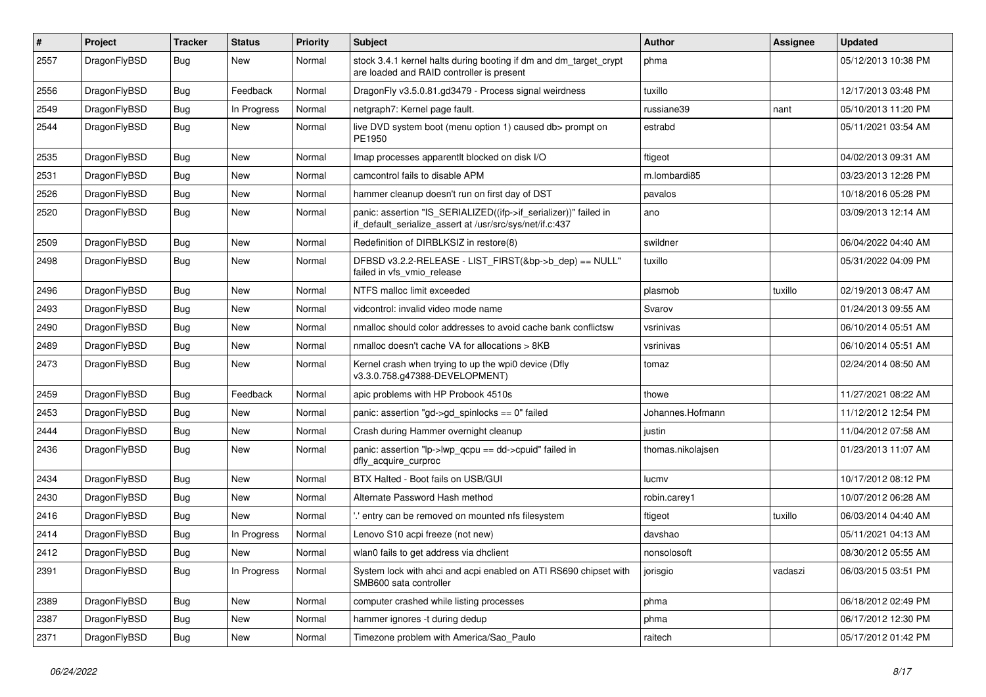| $\#$ | Project      | <b>Tracker</b> | <b>Status</b> | <b>Priority</b> | Subject                                                                                                                      | <b>Author</b>     | Assignee | <b>Updated</b>      |
|------|--------------|----------------|---------------|-----------------|------------------------------------------------------------------------------------------------------------------------------|-------------------|----------|---------------------|
| 2557 | DragonFlyBSD | <b>Bug</b>     | New           | Normal          | stock 3.4.1 kernel halts during booting if dm and dm_target_crypt<br>are loaded and RAID controller is present               | phma              |          | 05/12/2013 10:38 PM |
| 2556 | DragonFlyBSD | Bug            | Feedback      | Normal          | DragonFly v3.5.0.81.gd3479 - Process signal weirdness                                                                        | tuxillo           |          | 12/17/2013 03:48 PM |
| 2549 | DragonFlyBSD | Bug            | In Progress   | Normal          | netgraph7: Kernel page fault.                                                                                                | russiane39        | nant     | 05/10/2013 11:20 PM |
| 2544 | DragonFlyBSD | Bug            | New           | Normal          | live DVD system boot (menu option 1) caused db> prompt on<br>PE1950                                                          | estrabd           |          | 05/11/2021 03:54 AM |
| 2535 | DragonFlyBSD | Bug            | <b>New</b>    | Normal          | Imap processes apparentlt blocked on disk I/O                                                                                | ftigeot           |          | 04/02/2013 09:31 AM |
| 2531 | DragonFlyBSD | Bug            | <b>New</b>    | Normal          | camcontrol fails to disable APM                                                                                              | m.lombardi85      |          | 03/23/2013 12:28 PM |
| 2526 | DragonFlyBSD | Bug            | <b>New</b>    | Normal          | hammer cleanup doesn't run on first day of DST                                                                               | pavalos           |          | 10/18/2016 05:28 PM |
| 2520 | DragonFlyBSD | <b>Bug</b>     | <b>New</b>    | Normal          | panic: assertion "IS_SERIALIZED((ifp->if_serializer))" failed in<br>if_default_serialize_assert at /usr/src/sys/net/if.c:437 | ano               |          | 03/09/2013 12:14 AM |
| 2509 | DragonFlyBSD | Bug            | <b>New</b>    | Normal          | Redefinition of DIRBLKSIZ in restore(8)                                                                                      | swildner          |          | 06/04/2022 04:40 AM |
| 2498 | DragonFlyBSD | Bug            | <b>New</b>    | Normal          | DFBSD v3.2.2-RELEASE - LIST_FIRST(&bp->b_dep) == NULL"<br>failed in vfs_vmio_release                                         | tuxillo           |          | 05/31/2022 04:09 PM |
| 2496 | DragonFlyBSD | Bug            | <b>New</b>    | Normal          | NTFS malloc limit exceeded                                                                                                   | plasmob           | tuxillo  | 02/19/2013 08:47 AM |
| 2493 | DragonFlyBSD | Bug            | <b>New</b>    | Normal          | vidcontrol: invalid video mode name                                                                                          | Svarov            |          | 01/24/2013 09:55 AM |
| 2490 | DragonFlyBSD | Bug            | New           | Normal          | nmalloc should color addresses to avoid cache bank conflictsw                                                                | vsrinivas         |          | 06/10/2014 05:51 AM |
| 2489 | DragonFlyBSD | Bug            | <b>New</b>    | Normal          | nmalloc doesn't cache VA for allocations > 8KB                                                                               | vsrinivas         |          | 06/10/2014 05:51 AM |
| 2473 | DragonFlyBSD | <b>Bug</b>     | <b>New</b>    | Normal          | Kernel crash when trying to up the wpi0 device (Dfly<br>v3.3.0.758.g47388-DEVELOPMENT)                                       | tomaz             |          | 02/24/2014 08:50 AM |
| 2459 | DragonFlyBSD | Bug            | Feedback      | Normal          | apic problems with HP Probook 4510s                                                                                          | thowe             |          | 11/27/2021 08:22 AM |
| 2453 | DragonFlyBSD | <b>Bug</b>     | New           | Normal          | panic: assertion "gd->gd spinlocks == $0$ " failed                                                                           | Johannes.Hofmann  |          | 11/12/2012 12:54 PM |
| 2444 | DragonFlyBSD | Bug            | <b>New</b>    | Normal          | Crash during Hammer overnight cleanup                                                                                        | justin            |          | 11/04/2012 07:58 AM |
| 2436 | DragonFlyBSD | Bug            | <b>New</b>    | Normal          | panic: assertion "lp->lwp_qcpu == dd->cpuid" failed in<br>dfly_acquire_curproc                                               | thomas.nikolajsen |          | 01/23/2013 11:07 AM |
| 2434 | DragonFlyBSD | Bug            | <b>New</b>    | Normal          | BTX Halted - Boot fails on USB/GUI                                                                                           | lucmv             |          | 10/17/2012 08:12 PM |
| 2430 | DragonFlyBSD | <b>Bug</b>     | <b>New</b>    | Normal          | Alternate Password Hash method                                                                                               | robin.carey1      |          | 10/07/2012 06:28 AM |
| 2416 | DragonFlyBSD | <b>Bug</b>     | <b>New</b>    | Normal          | ".' entry can be removed on mounted nfs filesystem                                                                           | ftigeot           | tuxillo  | 06/03/2014 04:40 AM |
| 2414 | DragonFlyBSD | <b>Bug</b>     | In Progress   | Normal          | Lenovo S10 acpi freeze (not new)                                                                                             | davshao           |          | 05/11/2021 04:13 AM |
| 2412 | DragonFlyBSD | Bug            | New           | Normal          | wlan0 fails to get address via dholient                                                                                      | nonsolosoft       |          | 08/30/2012 05:55 AM |
| 2391 | DragonFlyBSD | <b>Bug</b>     | In Progress   | Normal          | System lock with ahci and acpi enabled on ATI RS690 chipset with<br>SMB600 sata controller                                   | jorisgio          | vadaszi  | 06/03/2015 03:51 PM |
| 2389 | DragonFlyBSD | <b>Bug</b>     | New           | Normal          | computer crashed while listing processes                                                                                     | phma              |          | 06/18/2012 02:49 PM |
| 2387 | DragonFlyBSD | <b>Bug</b>     | <b>New</b>    | Normal          | hammer ignores -t during dedup                                                                                               | phma              |          | 06/17/2012 12:30 PM |
| 2371 | DragonFlyBSD | <b>Bug</b>     | New           | Normal          | Timezone problem with America/Sao_Paulo                                                                                      | raitech           |          | 05/17/2012 01:42 PM |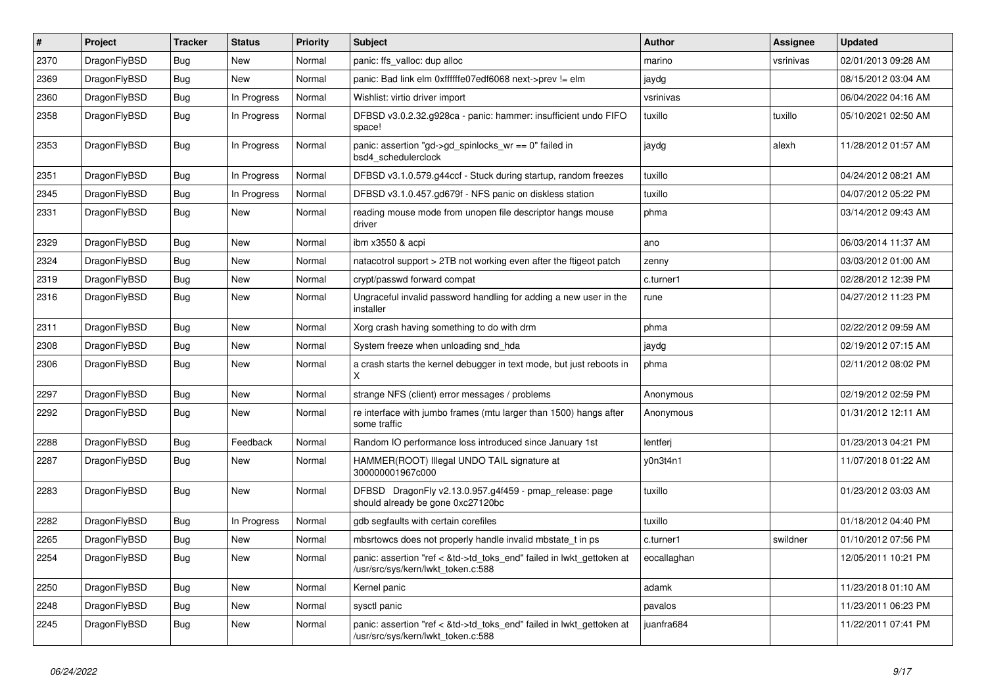| $\vert$ # | Project      | <b>Tracker</b> | <b>Status</b> | Priority | <b>Subject</b>                                                                                             | <b>Author</b> | <b>Assignee</b> | <b>Updated</b>      |
|-----------|--------------|----------------|---------------|----------|------------------------------------------------------------------------------------------------------------|---------------|-----------------|---------------------|
| 2370      | DragonFlyBSD | Bug            | <b>New</b>    | Normal   | panic: ffs valloc: dup alloc                                                                               | marino        | vsrinivas       | 02/01/2013 09:28 AM |
| 2369      | DragonFlyBSD | Bug            | <b>New</b>    | Normal   | panic: Bad link elm 0xffffffe07edf6068 next->prev != elm                                                   | jaydg         |                 | 08/15/2012 03:04 AM |
| 2360      | DragonFlyBSD | Bug            | In Progress   | Normal   | Wishlist: virtio driver import                                                                             | vsrinivas     |                 | 06/04/2022 04:16 AM |
| 2358      | DragonFlyBSD | <b>Bug</b>     | In Progress   | Normal   | DFBSD v3.0.2.32.g928ca - panic: hammer: insufficient undo FIFO<br>space!                                   | tuxillo       | tuxillo         | 05/10/2021 02:50 AM |
| 2353      | DragonFlyBSD | <b>Bug</b>     | In Progress   | Normal   | panic: assertion "gd->gd_spinlocks_wr == 0" failed in<br>bsd4 schedulerclock                               | jaydg         | alexh           | 11/28/2012 01:57 AM |
| 2351      | DragonFlyBSD | Bug            | In Progress   | Normal   | DFBSD v3.1.0.579.g44ccf - Stuck during startup, random freezes                                             | tuxillo       |                 | 04/24/2012 08:21 AM |
| 2345      | DragonFlyBSD | Bug            | In Progress   | Normal   | DFBSD v3.1.0.457.gd679f - NFS panic on diskless station                                                    | tuxillo       |                 | 04/07/2012 05:22 PM |
| 2331      | DragonFlyBSD | Bug            | New           | Normal   | reading mouse mode from unopen file descriptor hangs mouse<br>driver                                       | phma          |                 | 03/14/2012 09:43 AM |
| 2329      | DragonFlyBSD | <b>Bug</b>     | <b>New</b>    | Normal   | ibm x3550 & acpi                                                                                           | ano           |                 | 06/03/2014 11:37 AM |
| 2324      | DragonFlyBSD | <b>Bug</b>     | <b>New</b>    | Normal   | natacotrol support > 2TB not working even after the ftigeot patch                                          | zenny         |                 | 03/03/2012 01:00 AM |
| 2319      | DragonFlyBSD | Bug            | New           | Normal   | crypt/passwd forward compat                                                                                | c.turner1     |                 | 02/28/2012 12:39 PM |
| 2316      | DragonFlyBSD | <b>Bug</b>     | <b>New</b>    | Normal   | Ungraceful invalid password handling for adding a new user in the<br>installer                             | rune          |                 | 04/27/2012 11:23 PM |
| 2311      | DragonFlyBSD | <b>Bug</b>     | <b>New</b>    | Normal   | Xorg crash having something to do with drm                                                                 | phma          |                 | 02/22/2012 09:59 AM |
| 2308      | DragonFlyBSD | Bug            | <b>New</b>    | Normal   | System freeze when unloading snd hda                                                                       | jaydg         |                 | 02/19/2012 07:15 AM |
| 2306      | DragonFlyBSD | Bug            | New           | Normal   | a crash starts the kernel debugger in text mode, but just reboots in<br>X                                  | phma          |                 | 02/11/2012 08:02 PM |
| 2297      | DragonFlyBSD | Bug            | New           | Normal   | strange NFS (client) error messages / problems                                                             | Anonymous     |                 | 02/19/2012 02:59 PM |
| 2292      | DragonFlyBSD | <b>Bug</b>     | New           | Normal   | re interface with jumbo frames (mtu larger than 1500) hangs after<br>some traffic                          | Anonymous     |                 | 01/31/2012 12:11 AM |
| 2288      | DragonFlyBSD | Bug            | Feedback      | Normal   | Random IO performance loss introduced since January 1st                                                    | lentferj      |                 | 01/23/2013 04:21 PM |
| 2287      | DragonFlyBSD | Bug            | New           | Normal   | HAMMER(ROOT) Illegal UNDO TAIL signature at<br>300000001967c000                                            | v0n3t4n1      |                 | 11/07/2018 01:22 AM |
| 2283      | DragonFlyBSD | <b>Bug</b>     | <b>New</b>    | Normal   | DFBSD DragonFly v2.13.0.957.g4f459 - pmap release: page<br>should already be gone 0xc27120bc               | tuxillo       |                 | 01/23/2012 03:03 AM |
| 2282      | DragonFlyBSD | Bug            | In Progress   | Normal   | gdb segfaults with certain corefiles                                                                       | tuxillo       |                 | 01/18/2012 04:40 PM |
| 2265      | DragonFlyBSD | Bug            | New           | Normal   | mbsrtowcs does not properly handle invalid mbstate_t in ps                                                 | c.turner1     | swildner        | 01/10/2012 07:56 PM |
| 2254      | DragonFlyBSD | Bug            | New           | Normal   | panic: assertion "ref < &td->td_toks_end" failed in lwkt_gettoken at<br>/usr/src/sys/kern/lwkt_token.c:588 | eocallaghan   |                 | 12/05/2011 10:21 PM |
| 2250      | DragonFlyBSD | Bug            | <b>New</b>    | Normal   | Kernel panic                                                                                               | adamk         |                 | 11/23/2018 01:10 AM |
| 2248      | DragonFlyBSD | Bug            | <b>New</b>    | Normal   | sysctl panic                                                                                               | pavalos       |                 | 11/23/2011 06:23 PM |
| 2245      | DragonFlyBSD | Bug            | New           | Normal   | panic: assertion "ref < &td->td toks end" failed in lwkt gettoken at<br>/usr/src/sys/kern/lwkt_token.c:588 | juanfra684    |                 | 11/22/2011 07:41 PM |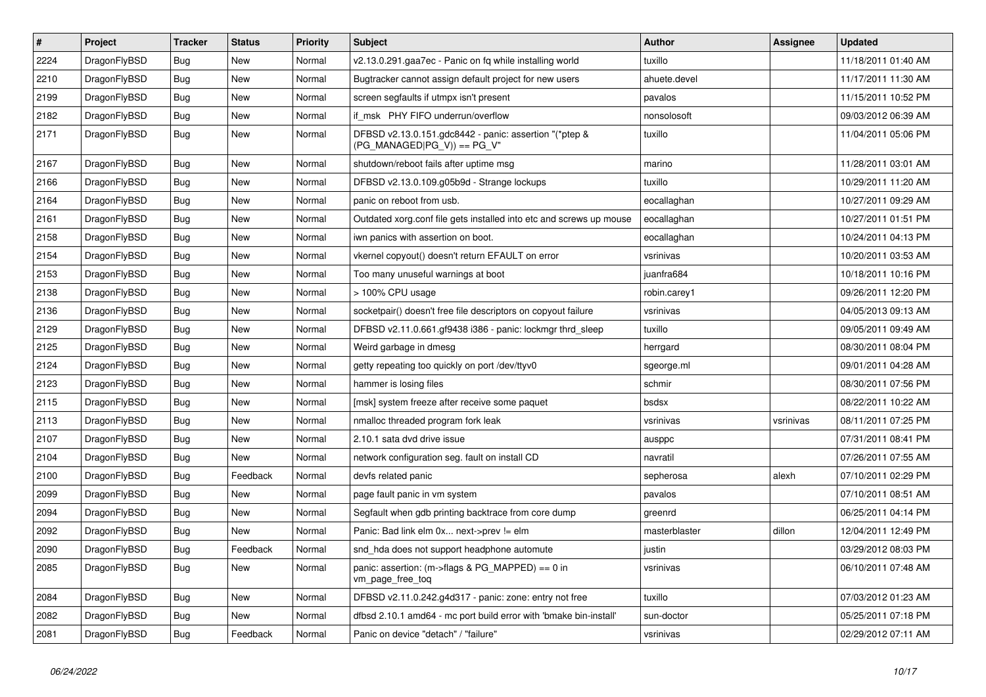| $\vert$ # | <b>Project</b> | <b>Tracker</b> | <b>Status</b> | <b>Priority</b> | <b>Subject</b>                                                                        | Author        | Assignee  | <b>Updated</b>      |
|-----------|----------------|----------------|---------------|-----------------|---------------------------------------------------------------------------------------|---------------|-----------|---------------------|
| 2224      | DragonFlyBSD   | <b>Bug</b>     | <b>New</b>    | Normal          | v2.13.0.291.gaa7ec - Panic on fq while installing world                               | tuxillo       |           | 11/18/2011 01:40 AM |
| 2210      | DragonFlyBSD   | Bug            | <b>New</b>    | Normal          | Bugtracker cannot assign default project for new users                                | ahuete.devel  |           | 11/17/2011 11:30 AM |
| 2199      | DragonFlyBSD   | Bug            | <b>New</b>    | Normal          | screen segfaults if utmpx isn't present                                               | pavalos       |           | 11/15/2011 10:52 PM |
| 2182      | DragonFlyBSD   | <b>Bug</b>     | <b>New</b>    | Normal          | if msk PHY FIFO underrun/overflow                                                     | nonsolosoft   |           | 09/03/2012 06:39 AM |
| 2171      | DragonFlyBSD   | Bug            | <b>New</b>    | Normal          | DFBSD v2.13.0.151.gdc8442 - panic: assertion "(*ptep &<br>(PG_MANAGED PG_V)) == PG_V" | tuxillo       |           | 11/04/2011 05:06 PM |
| 2167      | DragonFlyBSD   | Bug            | <b>New</b>    | Normal          | shutdown/reboot fails after uptime msg                                                | marino        |           | 11/28/2011 03:01 AM |
| 2166      | DragonFlyBSD   | <b>Bug</b>     | <b>New</b>    | Normal          | DFBSD v2.13.0.109.g05b9d - Strange lockups                                            | tuxillo       |           | 10/29/2011 11:20 AM |
| 2164      | DragonFlyBSD   | <b>Bug</b>     | <b>New</b>    | Normal          | panic on reboot from usb.                                                             | eocallaghan   |           | 10/27/2011 09:29 AM |
| 2161      | DragonFlyBSD   | Bug            | <b>New</b>    | Normal          | Outdated xorg.conf file gets installed into etc and screws up mouse                   | eocallaghan   |           | 10/27/2011 01:51 PM |
| 2158      | DragonFlyBSD   | Bug            | <b>New</b>    | Normal          | iwn panics with assertion on boot.                                                    | eocallaghan   |           | 10/24/2011 04:13 PM |
| 2154      | DragonFlyBSD   | Bug            | New           | Normal          | vkernel copyout() doesn't return EFAULT on error                                      | vsrinivas     |           | 10/20/2011 03:53 AM |
| 2153      | DragonFlyBSD   | Bug            | <b>New</b>    | Normal          | Too many unuseful warnings at boot                                                    | juanfra684    |           | 10/18/2011 10:16 PM |
| 2138      | DragonFlyBSD   | Bug            | <b>New</b>    | Normal          | > 100% CPU usage                                                                      | robin.carey1  |           | 09/26/2011 12:20 PM |
| 2136      | DragonFlyBSD   | <b>Bug</b>     | <b>New</b>    | Normal          | socketpair() doesn't free file descriptors on copyout failure                         | vsrinivas     |           | 04/05/2013 09:13 AM |
| 2129      | DragonFlyBSD   | Bug            | <b>New</b>    | Normal          | DFBSD v2.11.0.661.gf9438 i386 - panic: lockmgr thrd sleep                             | tuxillo       |           | 09/05/2011 09:49 AM |
| 2125      | DragonFlyBSD   | <b>Bug</b>     | <b>New</b>    | Normal          | Weird garbage in dmesg                                                                | herrgard      |           | 08/30/2011 08:04 PM |
| 2124      | DragonFlyBSD   | <b>Bug</b>     | <b>New</b>    | Normal          | getty repeating too quickly on port /dev/ttyv0                                        | sgeorge.ml    |           | 09/01/2011 04:28 AM |
| 2123      | DragonFlyBSD   | Bug            | <b>New</b>    | Normal          | hammer is losing files                                                                | schmir        |           | 08/30/2011 07:56 PM |
| 2115      | DragonFlyBSD   | Bug            | New           | Normal          | [msk] system freeze after receive some paquet                                         | bsdsx         |           | 08/22/2011 10:22 AM |
| 2113      | DragonFlyBSD   | Bug            | <b>New</b>    | Normal          | nmalloc threaded program fork leak                                                    | vsrinivas     | vsrinivas | 08/11/2011 07:25 PM |
| 2107      | DragonFlyBSD   | <b>Bug</b>     | <b>New</b>    | Normal          | 2.10.1 sata dvd drive issue                                                           | ausppc        |           | 07/31/2011 08:41 PM |
| 2104      | DragonFlyBSD   | Bug            | <b>New</b>    | Normal          | network configuration seg. fault on install CD                                        | navratil      |           | 07/26/2011 07:55 AM |
| 2100      | DragonFlyBSD   | Bug            | Feedback      | Normal          | devfs related panic                                                                   | sepherosa     | alexh     | 07/10/2011 02:29 PM |
| 2099      | DragonFlyBSD   | Bug            | New           | Normal          | page fault panic in vm system                                                         | pavalos       |           | 07/10/2011 08:51 AM |
| 2094      | DragonFlyBSD   | Bug            | New           | Normal          | Segfault when gdb printing backtrace from core dump                                   | greenrd       |           | 06/25/2011 04:14 PM |
| 2092      | DragonFlyBSD   | Bug            | <b>New</b>    | Normal          | Panic: Bad link elm 0x next->prev != elm                                              | masterblaster | dillon    | 12/04/2011 12:49 PM |
| 2090      | DragonFlyBSD   | Bug            | Feedback      | Normal          | snd hda does not support headphone automute                                           | justin        |           | 03/29/2012 08:03 PM |
| 2085      | DragonFlyBSD   | Bug            | <b>New</b>    | Normal          | panic: assertion: (m->flags & PG_MAPPED) == 0 in<br>vm_page_free_toq                  | vsrinivas     |           | 06/10/2011 07:48 AM |
| 2084      | DragonFlyBSD   | Bug            | <b>New</b>    | Normal          | DFBSD v2.11.0.242.g4d317 - panic: zone: entry not free                                | tuxillo       |           | 07/03/2012 01:23 AM |
| 2082      | DragonFlyBSD   | Bug            | <b>New</b>    | Normal          | dfbsd 2.10.1 amd64 - mc port build error with 'bmake bin-install'                     | sun-doctor    |           | 05/25/2011 07:18 PM |
| 2081      | DragonFlyBSD   | Bug            | Feedback      | Normal          | Panic on device "detach" / "failure"                                                  | vsrinivas     |           | 02/29/2012 07:11 AM |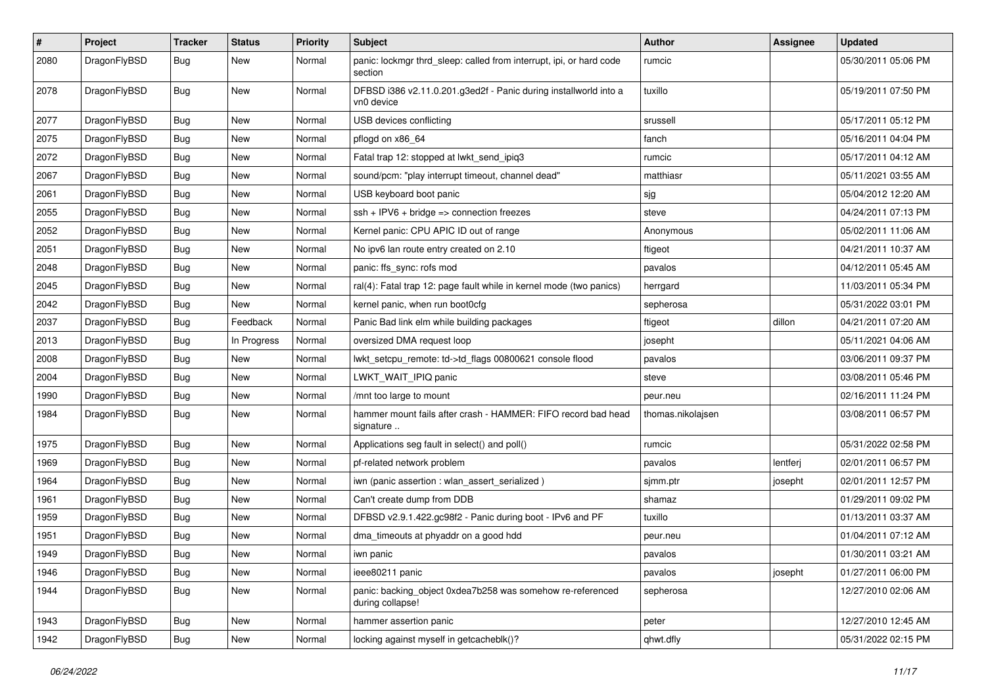| #    | Project      | <b>Tracker</b> | <b>Status</b> | <b>Priority</b> | Subject                                                                        | Author            | Assignee | <b>Updated</b>      |
|------|--------------|----------------|---------------|-----------------|--------------------------------------------------------------------------------|-------------------|----------|---------------------|
| 2080 | DragonFlyBSD | Bug            | <b>New</b>    | Normal          | panic: lockmgr thrd_sleep: called from interrupt, ipi, or hard code<br>section | rumcic            |          | 05/30/2011 05:06 PM |
| 2078 | DragonFlyBSD | <b>Bug</b>     | <b>New</b>    | Normal          | DFBSD i386 v2.11.0.201.g3ed2f - Panic during installworld into a<br>vn0 device | tuxillo           |          | 05/19/2011 07:50 PM |
| 2077 | DragonFlyBSD | Bug            | <b>New</b>    | Normal          | USB devices conflicting                                                        | srussell          |          | 05/17/2011 05:12 PM |
| 2075 | DragonFlyBSD | Bug            | <b>New</b>    | Normal          | pflogd on x86 64                                                               | fanch             |          | 05/16/2011 04:04 PM |
| 2072 | DragonFlyBSD | Bug            | New           | Normal          | Fatal trap 12: stopped at lwkt_send_ipiq3                                      | rumcic            |          | 05/17/2011 04:12 AM |
| 2067 | DragonFlyBSD | Bug            | New           | Normal          | sound/pcm: "play interrupt timeout, channel dead"                              | matthiasr         |          | 05/11/2021 03:55 AM |
| 2061 | DragonFlyBSD | <b>Bug</b>     | New           | Normal          | USB keyboard boot panic                                                        | sjg               |          | 05/04/2012 12:20 AM |
| 2055 | DragonFlyBSD | Bug            | <b>New</b>    | Normal          | ssh + IPV6 + bridge => connection freezes                                      | steve             |          | 04/24/2011 07:13 PM |
| 2052 | DragonFlyBSD | Bug            | <b>New</b>    | Normal          | Kernel panic: CPU APIC ID out of range                                         | Anonymous         |          | 05/02/2011 11:06 AM |
| 2051 | DragonFlyBSD | Bug            | New           | Normal          | No ipv6 lan route entry created on 2.10                                        | ftigeot           |          | 04/21/2011 10:37 AM |
| 2048 | DragonFlyBSD | Bug            | New           | Normal          | panic: ffs_sync: rofs mod                                                      | pavalos           |          | 04/12/2011 05:45 AM |
| 2045 | DragonFlyBSD | Bug            | New           | Normal          | ral(4): Fatal trap 12: page fault while in kernel mode (two panics)            | herrgard          |          | 11/03/2011 05:34 PM |
| 2042 | DragonFlyBSD | <b>Bug</b>     | <b>New</b>    | Normal          | kernel panic, when run boot0cfg                                                | sepherosa         |          | 05/31/2022 03:01 PM |
| 2037 | DragonFlyBSD | Bug            | Feedback      | Normal          | Panic Bad link elm while building packages                                     | ftigeot           | dillon   | 04/21/2011 07:20 AM |
| 2013 | DragonFlyBSD | Bug            | In Progress   | Normal          | oversized DMA request loop                                                     | josepht           |          | 05/11/2021 04:06 AM |
| 2008 | DragonFlyBSD | Bug            | <b>New</b>    | Normal          | lwkt_setcpu_remote: td->td_flags 00800621 console flood                        | pavalos           |          | 03/06/2011 09:37 PM |
| 2004 | DragonFlyBSD | Bug            | New           | Normal          | LWKT_WAIT_IPIQ panic                                                           | steve             |          | 03/08/2011 05:46 PM |
| 1990 | DragonFlyBSD | Bug            | <b>New</b>    | Normal          | /mnt too large to mount                                                        | peur.neu          |          | 02/16/2011 11:24 PM |
| 1984 | DragonFlyBSD | <b>Bug</b>     | New           | Normal          | hammer mount fails after crash - HAMMER: FIFO record bad head<br>signature     | thomas.nikolajsen |          | 03/08/2011 06:57 PM |
| 1975 | DragonFlyBSD | Bug            | <b>New</b>    | Normal          | Applications seg fault in select() and poll()                                  | rumcic            |          | 05/31/2022 02:58 PM |
| 1969 | DragonFlyBSD | Bug            | New           | Normal          | pf-related network problem                                                     | pavalos           | lentferj | 02/01/2011 06:57 PM |
| 1964 | DragonFlyBSD | Bug            | New           | Normal          | iwn (panic assertion : wlan assert serialized)                                 | sjmm.ptr          | josepht  | 02/01/2011 12:57 PM |
| 1961 | DragonFlyBSD | Bug            | New           | Normal          | Can't create dump from DDB                                                     | shamaz            |          | 01/29/2011 09:02 PM |
| 1959 | DragonFlyBSD | Bug            | <b>New</b>    | Normal          | DFBSD v2.9.1.422.gc98f2 - Panic during boot - IPv6 and PF                      | tuxillo           |          | 01/13/2011 03:37 AM |
| 1951 | DragonFlyBSD | <b>Bug</b>     | <b>New</b>    | Normal          | dma_timeouts at phyaddr on a good hdd                                          | peur.neu          |          | 01/04/2011 07:12 AM |
| 1949 | DragonFlyBSD | Bug            | <b>New</b>    | Normal          | iwn panic                                                                      | pavalos           |          | 01/30/2011 03:21 AM |
| 1946 | DragonFlyBSD | Bug            | New           | Normal          | ieee80211 panic                                                                | pavalos           | josepht  | 01/27/2011 06:00 PM |
| 1944 | DragonFlyBSD | <b>Bug</b>     | New           | Normal          | panic: backing_object 0xdea7b258 was somehow re-referenced<br>during collapse! | sepherosa         |          | 12/27/2010 02:06 AM |
| 1943 | DragonFlyBSD | Bug            | New           | Normal          | hammer assertion panic                                                         | peter             |          | 12/27/2010 12:45 AM |
| 1942 | DragonFlyBSD | Bug            | New           | Normal          | locking against myself in getcacheblk()?                                       | qhwt.dfly         |          | 05/31/2022 02:15 PM |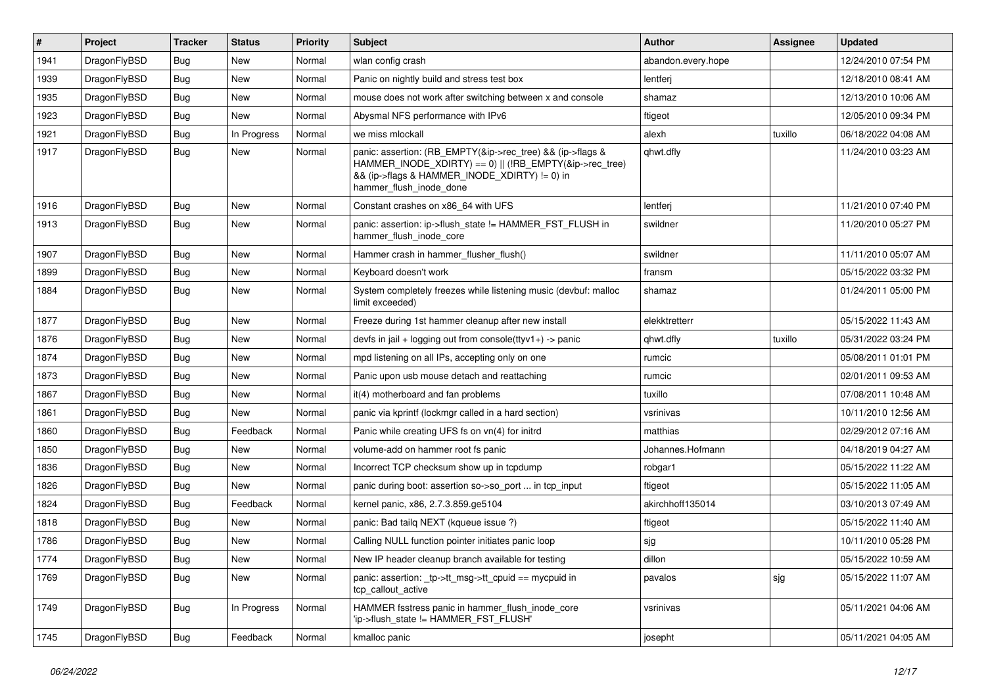| $\pmb{\#}$ | Project      | <b>Tracker</b> | <b>Status</b> | <b>Priority</b> | Subject                                                                                                                                                                                           | <b>Author</b>      | <b>Assignee</b> | <b>Updated</b>      |
|------------|--------------|----------------|---------------|-----------------|---------------------------------------------------------------------------------------------------------------------------------------------------------------------------------------------------|--------------------|-----------------|---------------------|
| 1941       | DragonFlyBSD | Bug            | <b>New</b>    | Normal          | wlan config crash                                                                                                                                                                                 | abandon.every.hope |                 | 12/24/2010 07:54 PM |
| 1939       | DragonFlyBSD | Bug            | New           | Normal          | Panic on nightly build and stress test box                                                                                                                                                        | lentferj           |                 | 12/18/2010 08:41 AM |
| 1935       | DragonFlyBSD | <b>Bug</b>     | New           | Normal          | mouse does not work after switching between x and console                                                                                                                                         | shamaz             |                 | 12/13/2010 10:06 AM |
| 1923       | DragonFlyBSD | Bug            | <b>New</b>    | Normal          | Abysmal NFS performance with IPv6                                                                                                                                                                 | ftigeot            |                 | 12/05/2010 09:34 PM |
| 1921       | DragonFlyBSD | Bug            | In Progress   | Normal          | we miss mlockall                                                                                                                                                                                  | alexh              | tuxillo         | 06/18/2022 04:08 AM |
| 1917       | DragonFlyBSD | Bug            | New           | Normal          | panic: assertion: (RB_EMPTY(&ip->rec_tree) && (ip->flags &<br>HAMMER_INODE_XDIRTY) == 0)    (!RB_EMPTY(&ip->rec_tree)<br>&& (ip->flags & HAMMER_INODE_XDIRTY) != 0) in<br>hammer flush inode done | qhwt.dfly          |                 | 11/24/2010 03:23 AM |
| 1916       | DragonFlyBSD | Bug            | New           | Normal          | Constant crashes on x86_64 with UFS                                                                                                                                                               | lentferj           |                 | 11/21/2010 07:40 PM |
| 1913       | DragonFlyBSD | Bug            | New           | Normal          | panic: assertion: ip->flush_state != HAMMER_FST_FLUSH in<br>hammer_flush_inode_core                                                                                                               | swildner           |                 | 11/20/2010 05:27 PM |
| 1907       | DragonFlyBSD | Bug            | New           | Normal          | Hammer crash in hammer_flusher_flush()                                                                                                                                                            | swildner           |                 | 11/11/2010 05:07 AM |
| 1899       | DragonFlyBSD | Bug            | New           | Normal          | Keyboard doesn't work                                                                                                                                                                             | fransm             |                 | 05/15/2022 03:32 PM |
| 1884       | DragonFlyBSD | Bug            | New           | Normal          | System completely freezes while listening music (devbuf: malloc<br>limit exceeded)                                                                                                                | shamaz             |                 | 01/24/2011 05:00 PM |
| 1877       | DragonFlyBSD | Bug            | New           | Normal          | Freeze during 1st hammer cleanup after new install                                                                                                                                                | elekktretterr      |                 | 05/15/2022 11:43 AM |
| 1876       | DragonFlyBSD | Bug            | New           | Normal          | devfs in jail + logging out from console(ttyv1+) -> panic                                                                                                                                         | qhwt.dfly          | tuxillo         | 05/31/2022 03:24 PM |
| 1874       | DragonFlyBSD | Bug            | New           | Normal          | mpd listening on all IPs, accepting only on one                                                                                                                                                   | rumcic             |                 | 05/08/2011 01:01 PM |
| 1873       | DragonFlyBSD | Bug            | New           | Normal          | Panic upon usb mouse detach and reattaching                                                                                                                                                       | rumcic             |                 | 02/01/2011 09:53 AM |
| 1867       | DragonFlyBSD | Bug            | New           | Normal          | it(4) motherboard and fan problems                                                                                                                                                                | tuxillo            |                 | 07/08/2011 10:48 AM |
| 1861       | DragonFlyBSD | Bug            | New           | Normal          | panic via kprintf (lockmgr called in a hard section)                                                                                                                                              | vsrinivas          |                 | 10/11/2010 12:56 AM |
| 1860       | DragonFlyBSD | Bug            | Feedback      | Normal          | Panic while creating UFS fs on vn(4) for initrd                                                                                                                                                   | matthias           |                 | 02/29/2012 07:16 AM |
| 1850       | DragonFlyBSD | Bug            | New           | Normal          | volume-add on hammer root fs panic                                                                                                                                                                | Johannes.Hofmann   |                 | 04/18/2019 04:27 AM |
| 1836       | DragonFlyBSD | Bug            | New           | Normal          | Incorrect TCP checksum show up in tcpdump                                                                                                                                                         | robgar1            |                 | 05/15/2022 11:22 AM |
| 1826       | DragonFlyBSD | Bug            | <b>New</b>    | Normal          | panic during boot: assertion so->so_port  in tcp_input                                                                                                                                            | ftigeot            |                 | 05/15/2022 11:05 AM |
| 1824       | DragonFlyBSD | <b>Bug</b>     | Feedback      | Normal          | kernel panic, x86, 2.7.3.859.ge5104                                                                                                                                                               | akirchhoff135014   |                 | 03/10/2013 07:49 AM |
| 1818       | DragonFlyBSD | Bug            | New           | Normal          | panic: Bad tailq NEXT (kqueue issue ?)                                                                                                                                                            | ftigeot            |                 | 05/15/2022 11:40 AM |
| 1786       | DragonFlyBSD | Bug            | New           | Normal          | Calling NULL function pointer initiates panic loop                                                                                                                                                | sjg                |                 | 10/11/2010 05:28 PM |
| 1774       | DragonFlyBSD | <b>Bug</b>     | New           | Normal          | New IP header cleanup branch available for testing                                                                                                                                                | dillon             |                 | 05/15/2022 10:59 AM |
| 1769       | DragonFlyBSD | <b>Bug</b>     | New           | Normal          | panic: assertion: _tp->tt_msg->tt_cpuid == mycpuid in<br>tcp callout active                                                                                                                       | pavalos            | sjg             | 05/15/2022 11:07 AM |
| 1749       | DragonFlyBSD | Bug            | In Progress   | Normal          | HAMMER fsstress panic in hammer_flush_inode_core<br>'ip->flush_state != HAMMER_FST_FLUSH'                                                                                                         | vsrinivas          |                 | 05/11/2021 04:06 AM |
| 1745       | DragonFlyBSD | Bug            | Feedback      | Normal          | kmalloc panic                                                                                                                                                                                     | josepht            |                 | 05/11/2021 04:05 AM |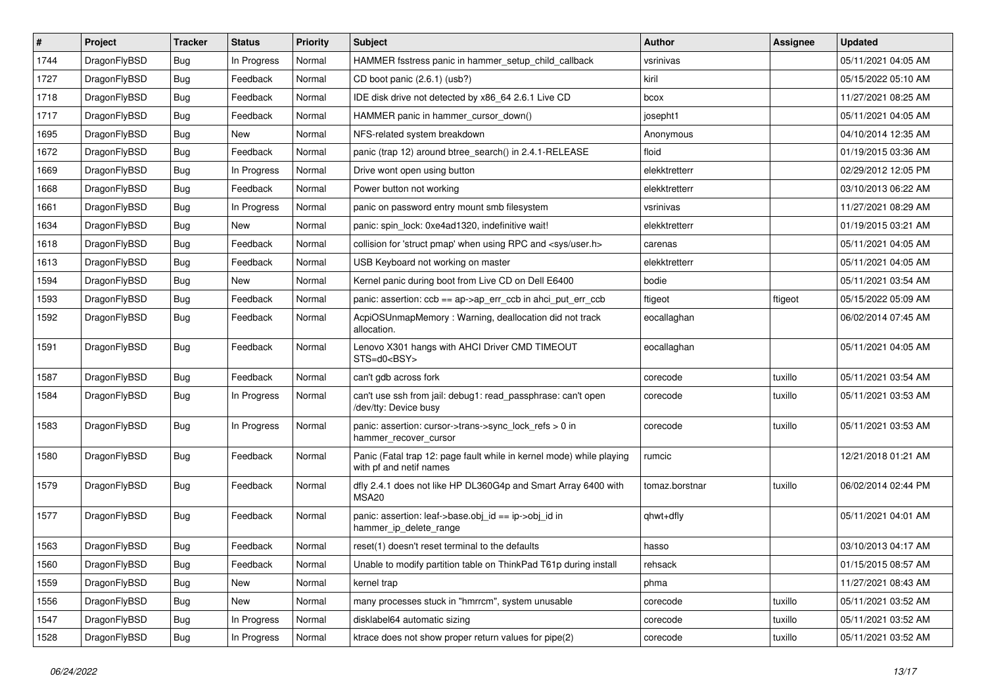| $\vert$ # | Project      | <b>Tracker</b> | <b>Status</b> | <b>Priority</b> | <b>Subject</b>                                                                                  | <b>Author</b>  | <b>Assignee</b> | <b>Updated</b>      |
|-----------|--------------|----------------|---------------|-----------------|-------------------------------------------------------------------------------------------------|----------------|-----------------|---------------------|
| 1744      | DragonFlyBSD | Bug            | In Progress   | Normal          | HAMMER fsstress panic in hammer setup child callback                                            | vsrinivas      |                 | 05/11/2021 04:05 AM |
| 1727      | DragonFlyBSD | Bug            | Feedback      | Normal          | CD boot panic (2.6.1) (usb?)                                                                    | kiril          |                 | 05/15/2022 05:10 AM |
| 1718      | DragonFlyBSD | Bug            | Feedback      | Normal          | IDE disk drive not detected by x86 64 2.6.1 Live CD                                             | bcox           |                 | 11/27/2021 08:25 AM |
| 1717      | DragonFlyBSD | <b>Bug</b>     | Feedback      | Normal          | HAMMER panic in hammer cursor down()                                                            | josepht1       |                 | 05/11/2021 04:05 AM |
| 1695      | DragonFlyBSD | Bug            | New           | Normal          | NFS-related system breakdown                                                                    | Anonymous      |                 | 04/10/2014 12:35 AM |
| 1672      | DragonFlyBSD | <b>Bug</b>     | Feedback      | Normal          | panic (trap 12) around btree search() in 2.4.1-RELEASE                                          | floid          |                 | 01/19/2015 03:36 AM |
| 1669      | DragonFlyBSD | Bug            | In Progress   | Normal          | Drive wont open using button                                                                    | elekktretterr  |                 | 02/29/2012 12:05 PM |
| 1668      | DragonFlyBSD | Bug            | Feedback      | Normal          | Power button not working                                                                        | elekktretterr  |                 | 03/10/2013 06:22 AM |
| 1661      | DragonFlyBSD | <b>Bug</b>     | In Progress   | Normal          | panic on password entry mount smb filesystem                                                    | vsrinivas      |                 | 11/27/2021 08:29 AM |
| 1634      | DragonFlyBSD | Bug            | New           | Normal          | panic: spin_lock: 0xe4ad1320, indefinitive wait!                                                | elekktretterr  |                 | 01/19/2015 03:21 AM |
| 1618      | DragonFlyBSD | <b>Bug</b>     | Feedback      | Normal          | collision for 'struct pmap' when using RPC and <sys user.h=""></sys>                            | carenas        |                 | 05/11/2021 04:05 AM |
| 1613      | DragonFlyBSD | Bug            | Feedback      | Normal          | USB Keyboard not working on master                                                              | elekktretterr  |                 | 05/11/2021 04:05 AM |
| 1594      | DragonFlyBSD | <b>Bug</b>     | New           | Normal          | Kernel panic during boot from Live CD on Dell E6400                                             | bodie          |                 | 05/11/2021 03:54 AM |
| 1593      | DragonFlyBSD | <b>Bug</b>     | Feedback      | Normal          | panic: assertion: ccb == ap->ap_err_ccb in ahci_put_err_ccb                                     | ftigeot        | ftigeot         | 05/15/2022 05:09 AM |
| 1592      | DragonFlyBSD | Bug            | Feedback      | Normal          | AcpiOSUnmapMemory: Warning, deallocation did not track<br>allocation.                           | eocallaghan    |                 | 06/02/2014 07:45 AM |
| 1591      | DragonFlyBSD | Bug            | Feedback      | Normal          | Lenovo X301 hangs with AHCI Driver CMD TIMEOUT<br>STS=d0 <bsy></bsy>                            | eocallaghan    |                 | 05/11/2021 04:05 AM |
| 1587      | DragonFlyBSD | <b>Bug</b>     | Feedback      | Normal          | can't gdb across fork                                                                           | corecode       | tuxillo         | 05/11/2021 03:54 AM |
| 1584      | DragonFlyBSD | Bug            | In Progress   | Normal          | can't use ssh from jail: debug1: read_passphrase: can't open<br>/dev/tty: Device busy           | corecode       | tuxillo         | 05/11/2021 03:53 AM |
| 1583      | DragonFlyBSD | <b>Bug</b>     | In Progress   | Normal          | panic: assertion: cursor->trans->sync_lock_refs > 0 in<br>hammer_recover_cursor                 | corecode       | tuxillo         | 05/11/2021 03:53 AM |
| 1580      | DragonFlyBSD | Bug            | Feedback      | Normal          | Panic (Fatal trap 12: page fault while in kernel mode) while playing<br>with pf and netif names | rumcic         |                 | 12/21/2018 01:21 AM |
| 1579      | DragonFlyBSD | Bug            | Feedback      | Normal          | dfly 2.4.1 does not like HP DL360G4p and Smart Array 6400 with<br>MSA <sub>20</sub>             | tomaz.borstnar | tuxillo         | 06/02/2014 02:44 PM |
| 1577      | DragonFlyBSD | Bug            | Feedback      | Normal          | panic: assertion: leaf->base.obj_id == ip->obj_id in<br>hammer ip delete range                  | qhwt+dfly      |                 | 05/11/2021 04:01 AM |
| 1563      | DragonFlyBSD | Bug            | Feedback      | Normal          | reset(1) doesn't reset terminal to the defaults                                                 | hasso          |                 | 03/10/2013 04:17 AM |
| 1560      | DragonFlyBSD | <b>Bug</b>     | Feedback      | Normal          | Unable to modify partition table on ThinkPad T61p during install                                | rehsack        |                 | 01/15/2015 08:57 AM |
| 1559      | DragonFlyBSD | <b>Bug</b>     | New           | Normal          | kernel trap                                                                                     | phma           |                 | 11/27/2021 08:43 AM |
| 1556      | DragonFlyBSD | <b>Bug</b>     | New           | Normal          | many processes stuck in "hmrrcm", system unusable                                               | corecode       | tuxillo         | 05/11/2021 03:52 AM |
| 1547      | DragonFlyBSD | Bug            | In Progress   | Normal          | disklabel64 automatic sizing                                                                    | corecode       | tuxillo         | 05/11/2021 03:52 AM |
| 1528      | DragonFlyBSD | <b>Bug</b>     | In Progress   | Normal          | ktrace does not show proper return values for pipe(2)                                           | corecode       | tuxillo         | 05/11/2021 03:52 AM |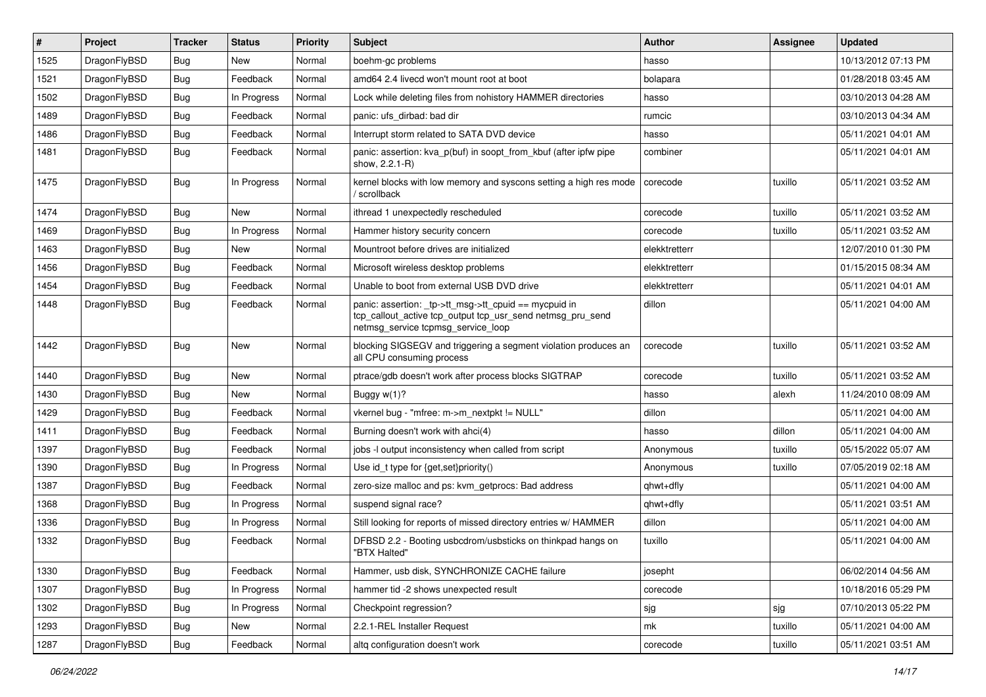| $\vert$ # | Project      | <b>Tracker</b> | <b>Status</b> | <b>Priority</b> | Subject                                                                                                                                                   | <b>Author</b> | Assignee | <b>Updated</b>      |
|-----------|--------------|----------------|---------------|-----------------|-----------------------------------------------------------------------------------------------------------------------------------------------------------|---------------|----------|---------------------|
| 1525      | DragonFlyBSD | <b>Bug</b>     | New           | Normal          | boehm-gc problems                                                                                                                                         | hasso         |          | 10/13/2012 07:13 PM |
| 1521      | DragonFlyBSD | Bug            | Feedback      | Normal          | amd64 2.4 livecd won't mount root at boot                                                                                                                 | bolapara      |          | 01/28/2018 03:45 AM |
| 1502      | DragonFlyBSD | <b>Bug</b>     | In Progress   | Normal          | Lock while deleting files from nohistory HAMMER directories                                                                                               | hasso         |          | 03/10/2013 04:28 AM |
| 1489      | DragonFlyBSD | Bug            | Feedback      | Normal          | panic: ufs dirbad: bad dir                                                                                                                                | rumcic        |          | 03/10/2013 04:34 AM |
| 1486      | DragonFlyBSD | Bug            | Feedback      | Normal          | Interrupt storm related to SATA DVD device                                                                                                                | hasso         |          | 05/11/2021 04:01 AM |
| 1481      | DragonFlyBSD | <b>Bug</b>     | Feedback      | Normal          | panic: assertion: kva p(buf) in soopt from kbuf (after ipfw pipe<br>show, 2.2.1-R)                                                                        | combiner      |          | 05/11/2021 04:01 AM |
| 1475      | DragonFlyBSD | <b>Bug</b>     | In Progress   | Normal          | kernel blocks with low memory and syscons setting a high res mode<br>/ scrollback                                                                         | corecode      | tuxillo  | 05/11/2021 03:52 AM |
| 1474      | DragonFlyBSD | Bug            | <b>New</b>    | Normal          | ithread 1 unexpectedly rescheduled                                                                                                                        | corecode      | tuxillo  | 05/11/2021 03:52 AM |
| 1469      | DragonFlyBSD | Bug            | In Progress   | Normal          | Hammer history security concern                                                                                                                           | corecode      | tuxillo  | 05/11/2021 03:52 AM |
| 1463      | DragonFlyBSD | <b>Bug</b>     | New           | Normal          | Mountroot before drives are initialized                                                                                                                   | elekktretterr |          | 12/07/2010 01:30 PM |
| 1456      | DragonFlyBSD | Bug            | Feedback      | Normal          | Microsoft wireless desktop problems                                                                                                                       | elekktretterr |          | 01/15/2015 08:34 AM |
| 1454      | DragonFlyBSD | Bug            | Feedback      | Normal          | Unable to boot from external USB DVD drive                                                                                                                | elekktretterr |          | 05/11/2021 04:01 AM |
| 1448      | DragonFlyBSD | <b>Bug</b>     | Feedback      | Normal          | panic: assertion: _tp->tt_msg->tt_cpuid == mycpuid in<br>tcp_callout_active tcp_output tcp_usr_send netmsg_pru_send<br>netmsg_service tcpmsg_service_loop | dillon        |          | 05/11/2021 04:00 AM |
| 1442      | DragonFlyBSD | <b>Bug</b>     | New           | Normal          | blocking SIGSEGV and triggering a segment violation produces an<br>all CPU consuming process                                                              | corecode      | tuxillo  | 05/11/2021 03:52 AM |
| 1440      | DragonFlyBSD | <b>Bug</b>     | <b>New</b>    | Normal          | ptrace/gdb doesn't work after process blocks SIGTRAP                                                                                                      | corecode      | tuxillo  | 05/11/2021 03:52 AM |
| 1430      | DragonFlyBSD | Bug            | <b>New</b>    | Normal          | Buggy w(1)?                                                                                                                                               | hasso         | alexh    | 11/24/2010 08:09 AM |
| 1429      | DragonFlyBSD | Bug            | Feedback      | Normal          | vkernel bug - "mfree: m->m nextpkt != NULL"                                                                                                               | dillon        |          | 05/11/2021 04:00 AM |
| 1411      | DragonFlyBSD | Bug            | Feedback      | Normal          | Burning doesn't work with ahci(4)                                                                                                                         | hasso         | dillon   | 05/11/2021 04:00 AM |
| 1397      | DragonFlyBSD | <b>Bug</b>     | Feedback      | Normal          | jobs -I output inconsistency when called from script                                                                                                      | Anonymous     | tuxillo  | 05/15/2022 05:07 AM |
| 1390      | DragonFlyBSD | Bug            | In Progress   | Normal          | Use id_t type for {get,set}priority()                                                                                                                     | Anonymous     | tuxillo  | 07/05/2019 02:18 AM |
| 1387      | DragonFlyBSD | Bug            | Feedback      | Normal          | zero-size malloc and ps: kvm_getprocs: Bad address                                                                                                        | qhwt+dfly     |          | 05/11/2021 04:00 AM |
| 1368      | DragonFlyBSD | Bug            | In Progress   | Normal          | suspend signal race?                                                                                                                                      | qhwt+dfly     |          | 05/11/2021 03:51 AM |
| 1336      | DragonFlyBSD | <b>Bug</b>     | In Progress   | Normal          | Still looking for reports of missed directory entries w/ HAMMER                                                                                           | dillon        |          | 05/11/2021 04:00 AM |
| 1332      | DragonFlyBSD | Bug            | Feedback      | Normal          | DFBSD 2.2 - Booting usbcdrom/usbsticks on thinkpad hangs on<br>"BTX Halted"                                                                               | tuxillo       |          | 05/11/2021 04:00 AM |
| 1330      | DragonFlyBSD | Bug            | Feedback      | Normal          | Hammer, usb disk, SYNCHRONIZE CACHE failure                                                                                                               | josepht       |          | 06/02/2014 04:56 AM |
| 1307      | DragonFlyBSD | <b>Bug</b>     | In Progress   | Normal          | hammer tid -2 shows unexpected result                                                                                                                     | corecode      |          | 10/18/2016 05:29 PM |
| 1302      | DragonFlyBSD | <b>Bug</b>     | In Progress   | Normal          | Checkpoint regression?                                                                                                                                    | sjg           | sjg      | 07/10/2013 05:22 PM |
| 1293      | DragonFlyBSD | <b>Bug</b>     | New           | Normal          | 2.2.1-REL Installer Request                                                                                                                               | mk            | tuxillo  | 05/11/2021 04:00 AM |
| 1287      | DragonFlyBSD | <b>Bug</b>     | Feedback      | Normal          | altg configuration doesn't work                                                                                                                           | corecode      | tuxillo  | 05/11/2021 03:51 AM |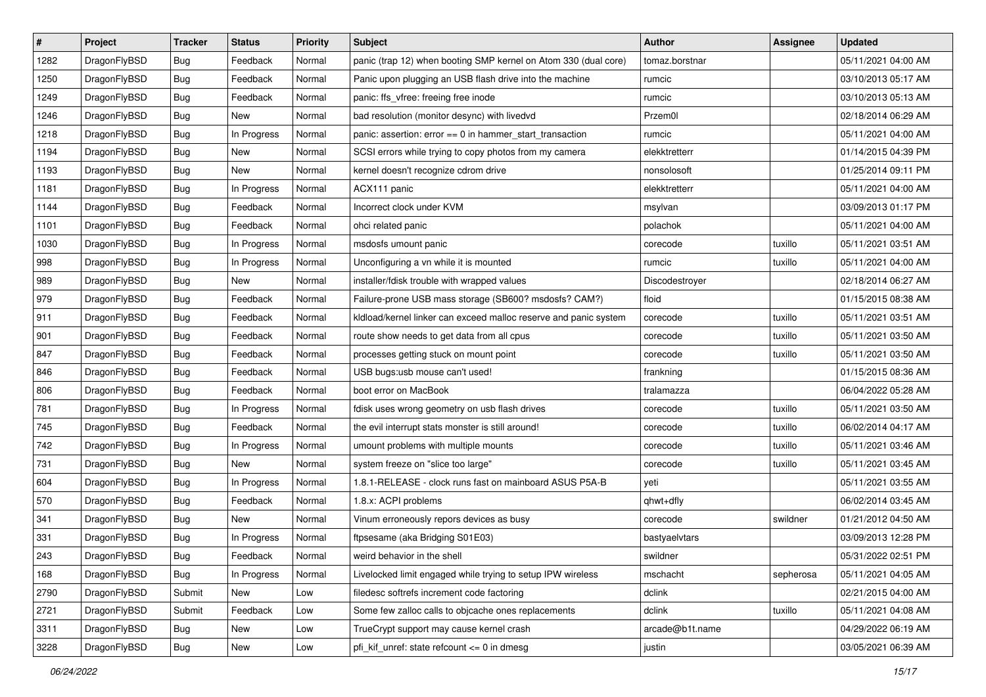| $\sharp$ | Project      | <b>Tracker</b> | <b>Status</b> | Priority | Subject                                                          | <b>Author</b>   | Assignee  | <b>Updated</b>      |
|----------|--------------|----------------|---------------|----------|------------------------------------------------------------------|-----------------|-----------|---------------------|
| 1282     | DragonFlyBSD | Bug            | Feedback      | Normal   | panic (trap 12) when booting SMP kernel on Atom 330 (dual core)  | tomaz.borstnar  |           | 05/11/2021 04:00 AM |
| 1250     | DragonFlyBSD | Bug            | Feedback      | Normal   | Panic upon plugging an USB flash drive into the machine          | rumcic          |           | 03/10/2013 05:17 AM |
| 1249     | DragonFlyBSD | Bug            | Feedback      | Normal   | panic: ffs_vfree: freeing free inode                             | rumcic          |           | 03/10/2013 05:13 AM |
| 1246     | DragonFlyBSD | Bug            | New           | Normal   | bad resolution (monitor desync) with livedvd                     | Przem0l         |           | 02/18/2014 06:29 AM |
| 1218     | DragonFlyBSD | Bug            | In Progress   | Normal   | panic: assertion: error == 0 in hammer_start_transaction         | rumcic          |           | 05/11/2021 04:00 AM |
| 1194     | DragonFlyBSD | <b>Bug</b>     | New           | Normal   | SCSI errors while trying to copy photos from my camera           | elekktretterr   |           | 01/14/2015 04:39 PM |
| 1193     | DragonFlyBSD | Bug            | New           | Normal   | kernel doesn't recognize cdrom drive                             | nonsolosoft     |           | 01/25/2014 09:11 PM |
| 1181     | DragonFlyBSD | <b>Bug</b>     | In Progress   | Normal   | ACX111 panic                                                     | elekktretterr   |           | 05/11/2021 04:00 AM |
| 1144     | DragonFlyBSD | <b>Bug</b>     | Feedback      | Normal   | Incorrect clock under KVM                                        | msylvan         |           | 03/09/2013 01:17 PM |
| 1101     | DragonFlyBSD | Bug            | Feedback      | Normal   | ohci related panic                                               | polachok        |           | 05/11/2021 04:00 AM |
| 1030     | DragonFlyBSD | <b>Bug</b>     | In Progress   | Normal   | msdosfs umount panic                                             | corecode        | tuxillo   | 05/11/2021 03:51 AM |
| 998      | DragonFlyBSD | <b>Bug</b>     | In Progress   | Normal   | Unconfiguring a vn while it is mounted                           | rumcic          | tuxillo   | 05/11/2021 04:00 AM |
| 989      | DragonFlyBSD | <b>Bug</b>     | New           | Normal   | installer/fdisk trouble with wrapped values                      | Discodestroyer  |           | 02/18/2014 06:27 AM |
| 979      | DragonFlyBSD | <b>Bug</b>     | Feedback      | Normal   | Failure-prone USB mass storage (SB600? msdosfs? CAM?)            | floid           |           | 01/15/2015 08:38 AM |
| 911      | DragonFlyBSD | Bug            | Feedback      | Normal   | kidload/kernel linker can exceed malloc reserve and panic system | corecode        | tuxillo   | 05/11/2021 03:51 AM |
| 901      | DragonFlyBSD | <b>Bug</b>     | Feedback      | Normal   | route show needs to get data from all cpus                       | corecode        | tuxillo   | 05/11/2021 03:50 AM |
| 847      | DragonFlyBSD | <b>Bug</b>     | Feedback      | Normal   | processes getting stuck on mount point                           | corecode        | tuxillo   | 05/11/2021 03:50 AM |
| 846      | DragonFlyBSD | Bug            | Feedback      | Normal   | USB bugs:usb mouse can't used!                                   | frankning       |           | 01/15/2015 08:36 AM |
| 806      | DragonFlyBSD | <b>Bug</b>     | Feedback      | Normal   | boot error on MacBook                                            | tralamazza      |           | 06/04/2022 05:28 AM |
| 781      | DragonFlyBSD | <b>Bug</b>     | In Progress   | Normal   | fdisk uses wrong geometry on usb flash drives                    | corecode        | tuxillo   | 05/11/2021 03:50 AM |
| 745      | DragonFlyBSD | Bug            | Feedback      | Normal   | the evil interrupt stats monster is still around!                | corecode        | tuxillo   | 06/02/2014 04:17 AM |
| 742      | DragonFlyBSD | <b>Bug</b>     | In Progress   | Normal   | umount problems with multiple mounts                             | corecode        | tuxillo   | 05/11/2021 03:46 AM |
| 731      | DragonFlyBSD | Bug            | New           | Normal   | system freeze on "slice too large"                               | corecode        | tuxillo   | 05/11/2021 03:45 AM |
| 604      | DragonFlyBSD | <b>Bug</b>     | In Progress   | Normal   | 1.8.1-RELEASE - clock runs fast on mainboard ASUS P5A-B          | yeti            |           | 05/11/2021 03:55 AM |
| 570      | DragonFlyBSD | <b>Bug</b>     | Feedback      | Normal   | 1.8.x: ACPI problems                                             | qhwt+dfly       |           | 06/02/2014 03:45 AM |
| 341      | DragonFlyBSD | Bug            | New           | Normal   | Vinum erroneously repors devices as busy                         | corecode        | swildner  | 01/21/2012 04:50 AM |
| 331      | DragonFlyBSD | Bug            | In Progress   | Normal   | ftpsesame (aka Bridging S01E03)                                  | bastyaelvtars   |           | 03/09/2013 12:28 PM |
| 243      | DragonFlyBSD | <b>Bug</b>     | Feedback      | Normal   | weird behavior in the shell                                      | swildner        |           | 05/31/2022 02:51 PM |
| 168      | DragonFlyBSD | Bug            | In Progress   | Normal   | Livelocked limit engaged while trying to setup IPW wireless      | mschacht        | sepherosa | 05/11/2021 04:05 AM |
| 2790     | DragonFlyBSD | Submit         | New           | Low      | filedesc softrefs increment code factoring                       | dclink          |           | 02/21/2015 04:00 AM |
| 2721     | DragonFlyBSD | Submit         | Feedback      | Low      | Some few zalloc calls to objcache ones replacements              | dclink          | tuxillo   | 05/11/2021 04:08 AM |
| 3311     | DragonFlyBSD | Bug            | New           | Low      | TrueCrypt support may cause kernel crash                         | arcade@b1t.name |           | 04/29/2022 06:19 AM |
| 3228     | DragonFlyBSD | <b>Bug</b>     | New           | Low      | pfi_kif_unref: state refcount <= 0 in dmesg                      | justin          |           | 03/05/2021 06:39 AM |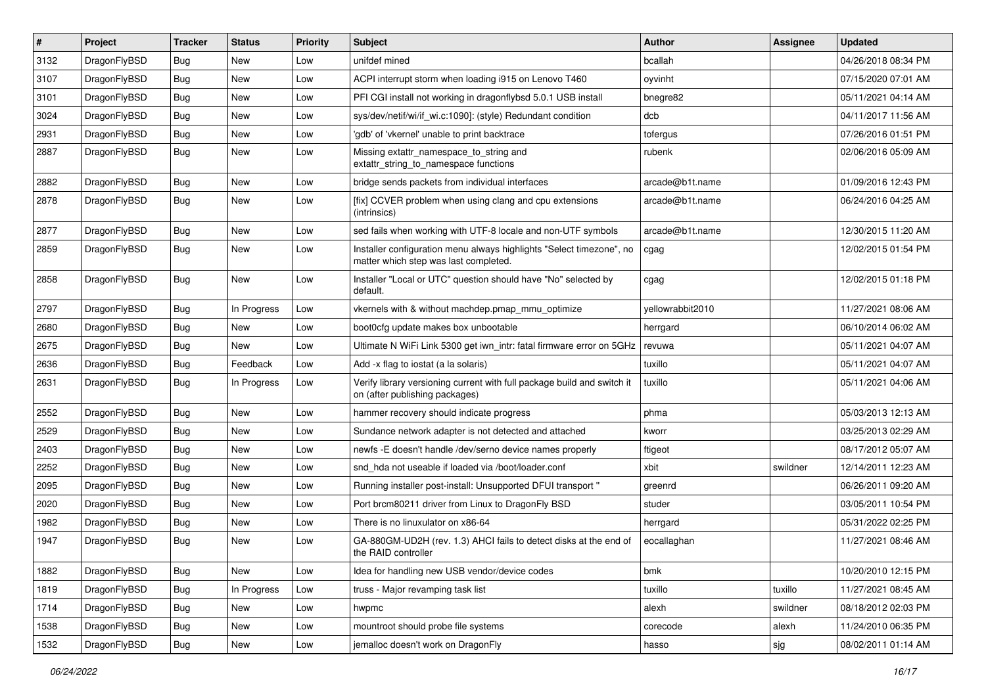| $\vert$ # | Project      | <b>Tracker</b> | <b>Status</b> | <b>Priority</b> | Subject                                                                                                       | <b>Author</b>    | Assignee | <b>Updated</b>      |
|-----------|--------------|----------------|---------------|-----------------|---------------------------------------------------------------------------------------------------------------|------------------|----------|---------------------|
| 3132      | DragonFlyBSD | <b>Bug</b>     | <b>New</b>    | Low             | unifdef mined                                                                                                 | bcallah          |          | 04/26/2018 08:34 PM |
| 3107      | DragonFlyBSD | Bug            | <b>New</b>    | Low             | ACPI interrupt storm when loading i915 on Lenovo T460                                                         | oyvinht          |          | 07/15/2020 07:01 AM |
| 3101      | DragonFlyBSD | Bug            | <b>New</b>    | Low             | PFI CGI install not working in dragonflybsd 5.0.1 USB install                                                 | bnegre82         |          | 05/11/2021 04:14 AM |
| 3024      | DragonFlyBSD | Bug            | <b>New</b>    | Low             | sys/dev/netif/wi/if_wi.c:1090]: (style) Redundant condition                                                   | dcb              |          | 04/11/2017 11:56 AM |
| 2931      | DragonFlyBSD | Bug            | <b>New</b>    | Low             | 'gdb' of 'vkernel' unable to print backtrace                                                                  | tofergus         |          | 07/26/2016 01:51 PM |
| 2887      | DragonFlyBSD | Bug            | <b>New</b>    | Low             | Missing extattr_namespace_to_string and<br>extattr_string_to_namespace functions                              | rubenk           |          | 02/06/2016 05:09 AM |
| 2882      | DragonFlyBSD | Bug            | <b>New</b>    | Low             | bridge sends packets from individual interfaces                                                               | arcade@b1t.name  |          | 01/09/2016 12:43 PM |
| 2878      | DragonFlyBSD | Bug            | <b>New</b>    | Low             | [fix] CCVER problem when using clang and cpu extensions<br>(intrinsics)                                       | arcade@b1t.name  |          | 06/24/2016 04:25 AM |
| 2877      | DragonFlyBSD | Bug            | New           | Low             | sed fails when working with UTF-8 locale and non-UTF symbols                                                  | arcade@b1t.name  |          | 12/30/2015 11:20 AM |
| 2859      | DragonFlyBSD | Bug            | <b>New</b>    | Low             | Installer configuration menu always highlights "Select timezone", no<br>matter which step was last completed. | cgag             |          | 12/02/2015 01:54 PM |
| 2858      | DragonFlyBSD | Bug            | <b>New</b>    | Low             | Installer "Local or UTC" question should have "No" selected by<br>default.                                    | cgag             |          | 12/02/2015 01:18 PM |
| 2797      | DragonFlyBSD | Bug            | In Progress   | Low             | vkernels with & without machdep.pmap mmu optimize                                                             | yellowrabbit2010 |          | 11/27/2021 08:06 AM |
| 2680      | DragonFlyBSD | <b>Bug</b>     | <b>New</b>    | Low             | boot0cfg update makes box unbootable                                                                          | herrgard         |          | 06/10/2014 06:02 AM |
| 2675      | DragonFlyBSD | Bug            | <b>New</b>    | Low             | Ultimate N WiFi Link 5300 get iwn intr: fatal firmware error on 5GHz                                          | revuwa           |          | 05/11/2021 04:07 AM |
| 2636      | DragonFlyBSD | <b>Bug</b>     | Feedback      | Low             | Add -x flag to iostat (a la solaris)                                                                          | tuxillo          |          | 05/11/2021 04:07 AM |
| 2631      | DragonFlyBSD | <b>Bug</b>     | In Progress   | Low             | Verify library versioning current with full package build and switch it<br>on (after publishing packages)     | tuxillo          |          | 05/11/2021 04:06 AM |
| 2552      | DragonFlyBSD | Bug            | <b>New</b>    | Low             | hammer recovery should indicate progress                                                                      | phma             |          | 05/03/2013 12:13 AM |
| 2529      | DragonFlyBSD | <b>Bug</b>     | <b>New</b>    | Low             | Sundance network adapter is not detected and attached                                                         | kworr            |          | 03/25/2013 02:29 AM |
| 2403      | DragonFlyBSD | <b>Bug</b>     | New           | Low             | newfs -E doesn't handle /dev/serno device names properly                                                      | ftigeot          |          | 08/17/2012 05:07 AM |
| 2252      | DragonFlyBSD | <b>Bug</b>     | <b>New</b>    | Low             | snd_hda not useable if loaded via /boot/loader.conf                                                           | xbit             | swildner | 12/14/2011 12:23 AM |
| 2095      | DragonFlyBSD | Bug            | <b>New</b>    | Low             | Running installer post-install: Unsupported DFUI transport"                                                   | greenrd          |          | 06/26/2011 09:20 AM |
| 2020      | DragonFlyBSD | Bug            | New           | Low             | Port brcm80211 driver from Linux to DragonFly BSD                                                             | studer           |          | 03/05/2011 10:54 PM |
| 1982      | DragonFlyBSD | Bug            | <b>New</b>    | Low             | There is no linuxulator on x86-64                                                                             | herrgard         |          | 05/31/2022 02:25 PM |
| 1947      | DragonFlyBSD | Bug            | New           | Low             | GA-880GM-UD2H (rev. 1.3) AHCI fails to detect disks at the end of<br>the RAID controller                      | eocallaghan      |          | 11/27/2021 08:46 AM |
| 1882      | DragonFlyBSD | <b>Bug</b>     | New           | Low             | Idea for handling new USB vendor/device codes                                                                 | bmk              |          | 10/20/2010 12:15 PM |
| 1819      | DragonFlyBSD | Bug            | In Progress   | Low             | truss - Major revamping task list                                                                             | tuxillo          | tuxillo  | 11/27/2021 08:45 AM |
| 1714      | DragonFlyBSD | <b>Bug</b>     | New           | Low             | hwpmc                                                                                                         | alexh            | swildner | 08/18/2012 02:03 PM |
| 1538      | DragonFlyBSD | <b>Bug</b>     | New           | Low             | mountroot should probe file systems                                                                           | corecode         | alexh    | 11/24/2010 06:35 PM |
| 1532      | DragonFlyBSD | Bug            | New           | Low             | jemalloc doesn't work on DragonFly                                                                            | hasso            | sjg      | 08/02/2011 01:14 AM |